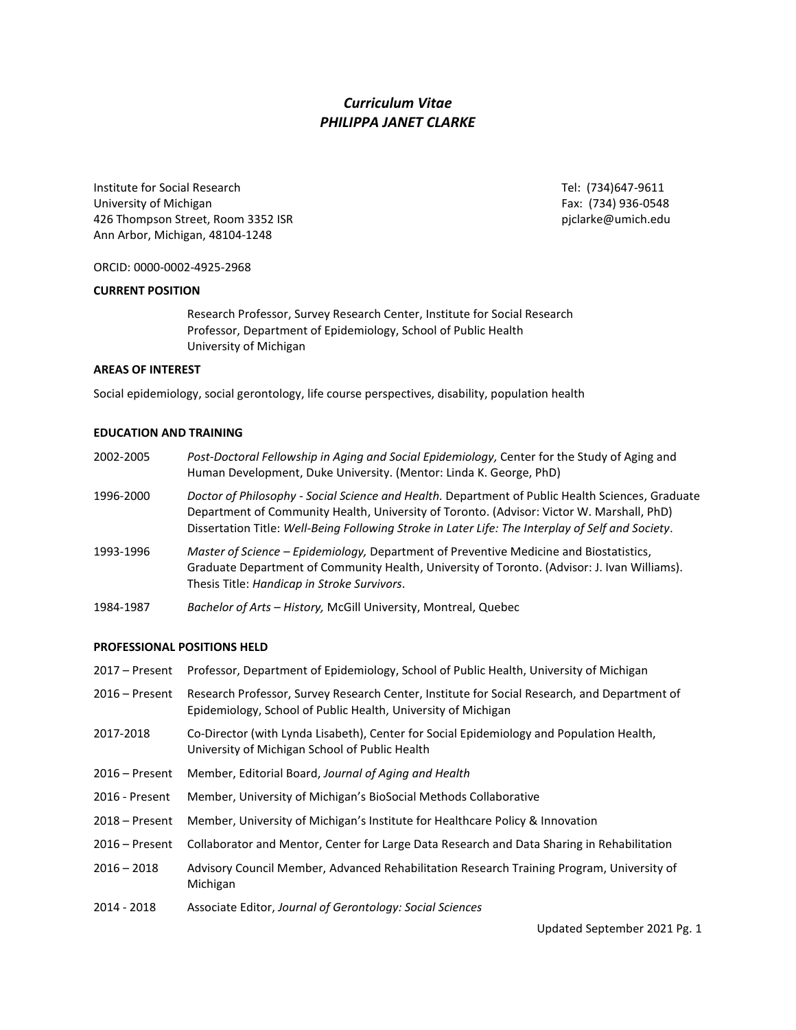# *Curriculum Vitae PHILIPPA JANET CLARKE*

Institute for Social Research Tel: (734)647-9611 University of Michigan Fax: (734) 936-0548 426 Thompson Street, Room 3352 ISR pjclarke@umich.edu Ann Arbor, Michigan, 48104-1248

ORCID: 0000-0002-4925-2968

# **CURRENT POSITION**

Research Professor, Survey Research Center, Institute for Social Research Professor, Department of Epidemiology, School of Public Health University of Michigan

# **AREAS OF INTEREST**

Social epidemiology, social gerontology, life course perspectives, disability, population health

# **EDUCATION AND TRAINING**

| 2002-2005 | Post-Doctoral Fellowship in Aging and Social Epidemiology, Center for the Study of Aging and<br>Human Development, Duke University. (Mentor: Linda K. George, PhD)                                                                                                                                 |
|-----------|----------------------------------------------------------------------------------------------------------------------------------------------------------------------------------------------------------------------------------------------------------------------------------------------------|
| 1996-2000 | Doctor of Philosophy - Social Science and Health. Department of Public Health Sciences, Graduate<br>Department of Community Health, University of Toronto. (Advisor: Victor W. Marshall, PhD)<br>Dissertation Title: Well-Being Following Stroke in Later Life: The Interplay of Self and Society. |
| 1993-1996 | Master of Science – Epidemiology, Department of Preventive Medicine and Biostatistics,<br>Graduate Department of Community Health, University of Toronto. (Advisor: J. Ivan Williams).<br>Thesis Title: Handicap in Stroke Survivors.                                                              |

1984-1987 *Bachelor of Arts – History,* McGill University, Montreal, Quebec

# **PROFESSIONAL POSITIONS HELD**

| $2017 -$ Present | Professor, Department of Epidemiology, School of Public Health, University of Michigan                                                                        |
|------------------|---------------------------------------------------------------------------------------------------------------------------------------------------------------|
| $2016$ – Present | Research Professor, Survey Research Center, Institute for Social Research, and Department of<br>Epidemiology, School of Public Health, University of Michigan |
| 2017-2018        | Co-Director (with Lynda Lisabeth), Center for Social Epidemiology and Population Health,<br>University of Michigan School of Public Health                    |
| $2016$ – Present | Member, Editorial Board, Journal of Aging and Health                                                                                                          |
| 2016 - Present   | Member, University of Michigan's BioSocial Methods Collaborative                                                                                              |
| $2018 -$ Present | Member, University of Michigan's Institute for Healthcare Policy & Innovation                                                                                 |
| $2016$ – Present | Collaborator and Mentor, Center for Large Data Research and Data Sharing in Rehabilitation                                                                    |
| $2016 - 2018$    | Advisory Council Member, Advanced Rehabilitation Research Training Program, University of<br>Michigan                                                         |
| 2011 2010        | Associato Editor, Journal of Carontologu: Social Sciences                                                                                                     |

2014 - 2018 Associate Editor, *Journal of Gerontology: Social Sciences*

Updated September 2021 Pg. 1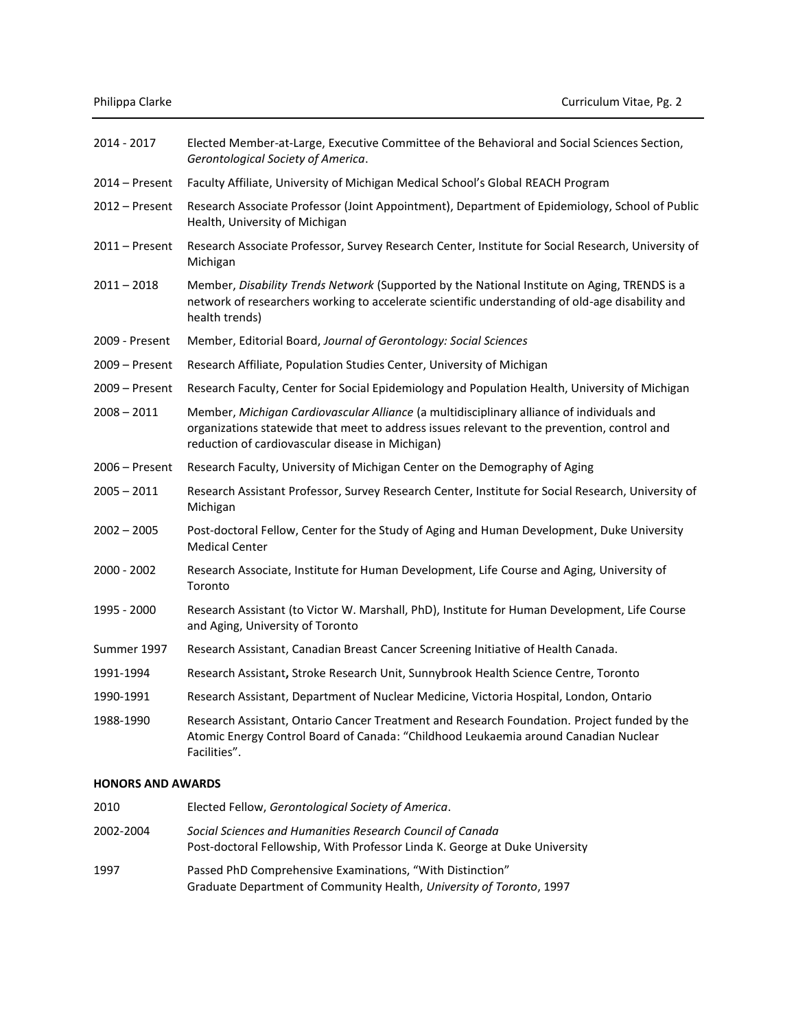| 2014 - 2017    | Elected Member-at-Large, Executive Committee of the Behavioral and Social Sciences Section,<br>Gerontological Society of America.                                                                                                            |
|----------------|----------------------------------------------------------------------------------------------------------------------------------------------------------------------------------------------------------------------------------------------|
| 2014 – Present | Faculty Affiliate, University of Michigan Medical School's Global REACH Program                                                                                                                                                              |
| 2012 - Present | Research Associate Professor (Joint Appointment), Department of Epidemiology, School of Public<br>Health, University of Michigan                                                                                                             |
| 2011 - Present | Research Associate Professor, Survey Research Center, Institute for Social Research, University of<br>Michigan                                                                                                                               |
| $2011 - 2018$  | Member, Disability Trends Network (Supported by the National Institute on Aging, TRENDS is a<br>network of researchers working to accelerate scientific understanding of old-age disability and<br>health trends)                            |
| 2009 - Present | Member, Editorial Board, Journal of Gerontology: Social Sciences                                                                                                                                                                             |
| 2009 - Present | Research Affiliate, Population Studies Center, University of Michigan                                                                                                                                                                        |
| 2009 - Present | Research Faculty, Center for Social Epidemiology and Population Health, University of Michigan                                                                                                                                               |
| $2008 - 2011$  | Member, Michigan Cardiovascular Alliance (a multidisciplinary alliance of individuals and<br>organizations statewide that meet to address issues relevant to the prevention, control and<br>reduction of cardiovascular disease in Michigan) |
| 2006 – Present | Research Faculty, University of Michigan Center on the Demography of Aging                                                                                                                                                                   |
| $2005 - 2011$  | Research Assistant Professor, Survey Research Center, Institute for Social Research, University of<br>Michigan                                                                                                                               |
| $2002 - 2005$  | Post-doctoral Fellow, Center for the Study of Aging and Human Development, Duke University<br><b>Medical Center</b>                                                                                                                          |
| 2000 - 2002    | Research Associate, Institute for Human Development, Life Course and Aging, University of<br>Toronto                                                                                                                                         |
| 1995 - 2000    | Research Assistant (to Victor W. Marshall, PhD), Institute for Human Development, Life Course<br>and Aging, University of Toronto                                                                                                            |
| Summer 1997    | Research Assistant, Canadian Breast Cancer Screening Initiative of Health Canada.                                                                                                                                                            |
| 1991-1994      | Research Assistant, Stroke Research Unit, Sunnybrook Health Science Centre, Toronto                                                                                                                                                          |
| 1990-1991      | Research Assistant, Department of Nuclear Medicine, Victoria Hospital, London, Ontario                                                                                                                                                       |
| 1988-1990      | Research Assistant, Ontario Cancer Treatment and Research Foundation. Project funded by the<br>Atomic Energy Control Board of Canada: "Childhood Leukaemia around Canadian Nuclear<br>Facilities".                                           |

# **HONORS AND AWARDS**

| 2010      | Elected Fellow, Gerontological Society of America.                                                                                       |
|-----------|------------------------------------------------------------------------------------------------------------------------------------------|
| 2002-2004 | Social Sciences and Humanities Research Council of Canada<br>Post-doctoral Fellowship, With Professor Linda K. George at Duke University |
| 1997      | Passed PhD Comprehensive Examinations, "With Distinction"<br>Graduate Department of Community Health, University of Toronto, 1997        |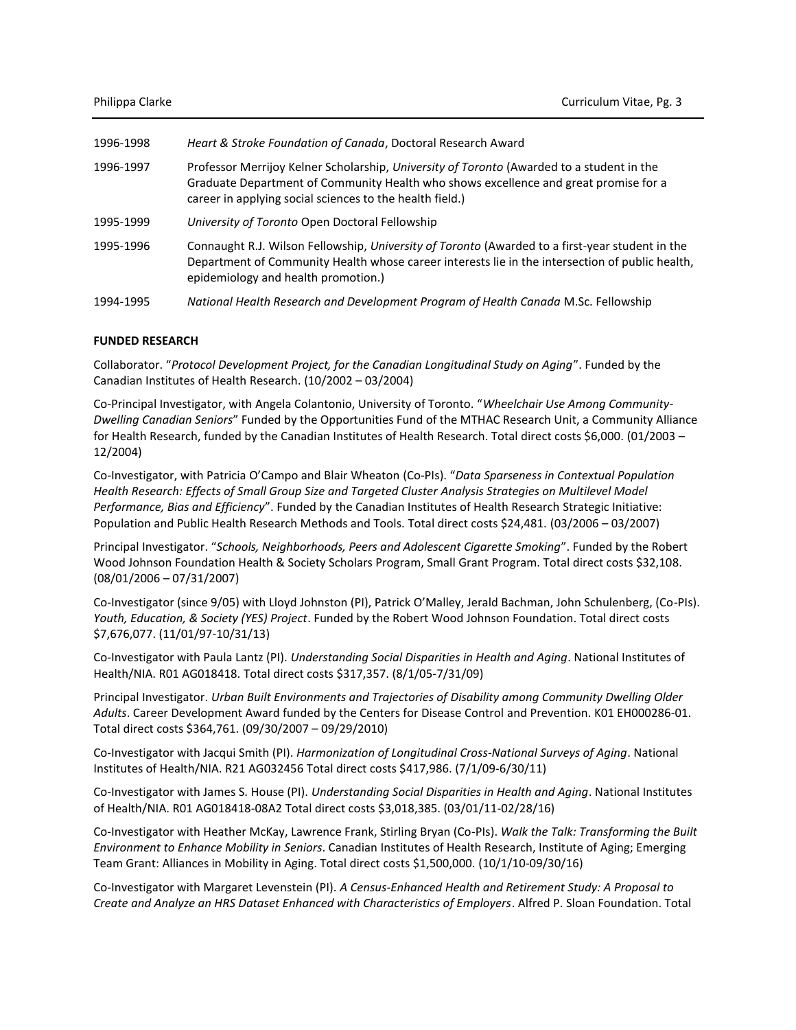| 1996-1998 | Heart & Stroke Foundation of Canada, Doctoral Research Award                                                                                                                                                                                  |
|-----------|-----------------------------------------------------------------------------------------------------------------------------------------------------------------------------------------------------------------------------------------------|
| 1996-1997 | Professor Merrijoy Kelner Scholarship, University of Toronto (Awarded to a student in the<br>Graduate Department of Community Health who shows excellence and great promise for a<br>career in applying social sciences to the health field.) |
| 1995-1999 | University of Toronto Open Doctoral Fellowship                                                                                                                                                                                                |
| 1995-1996 | Connaught R.J. Wilson Fellowship, University of Toronto (Awarded to a first-year student in the<br>Department of Community Health whose career interests lie in the intersection of public health,<br>epidemiology and health promotion.)     |
| 1994-1995 | National Health Research and Development Program of Health Canada M.Sc. Fellowship                                                                                                                                                            |

# **FUNDED RESEARCH**

Collaborator. "*Protocol Development Project, for the Canadian Longitudinal Study on Aging*". Funded by the Canadian Institutes of Health Research. (10/2002 – 03/2004)

Co-Principal Investigator, with Angela Colantonio, University of Toronto. "*Wheelchair Use Among Community-Dwelling Canadian Seniors*" Funded by the Opportunities Fund of the MTHAC Research Unit, a Community Alliance for Health Research, funded by the Canadian Institutes of Health Research. Total direct costs \$6,000. (01/2003 – 12/2004)

Co-Investigator, with Patricia O'Campo and Blair Wheaton (Co-PIs). "*Data Sparseness in Contextual Population Health Research: Effects of Small Group Size and Targeted Cluster Analysis Strategies on Multilevel Model Performance, Bias and Efficiency*". Funded by the Canadian Institutes of Health Research Strategic Initiative: Population and Public Health Research Methods and Tools. Total direct costs \$24,481. (03/2006 – 03/2007)

Principal Investigator. "*Schools, Neighborhoods, Peers and Adolescent Cigarette Smoking*". Funded by the Robert Wood Johnson Foundation Health & Society Scholars Program, Small Grant Program. Total direct costs \$32,108. (08/01/2006 – 07/31/2007)

Co-Investigator (since 9/05) with Lloyd Johnston (PI), Patrick O'Malley, Jerald Bachman, John Schulenberg, (Co-PIs). *Youth, Education, & Society (YES) Project*. Funded by the Robert Wood Johnson Foundation. Total direct costs \$7,676,077. (11/01/97-10/31/13)

Co-Investigator with Paula Lantz (PI). *Understanding Social Disparities in Health and Aging*. National Institutes of Health/NIA. R01 AG018418. Total direct costs \$317,357. (8/1/05-7/31/09)

Principal Investigator. *Urban Built Environments and Trajectories of Disability among Community Dwelling Older Adults*. Career Development Award funded by the Centers for Disease Control and Prevention. K01 EH000286-01. Total direct costs \$364,761. (09/30/2007 – 09/29/2010)

Co-Investigator with Jacqui Smith (PI). *Harmonization of Longitudinal Cross-National Surveys of Aging*. National Institutes of Health/NIA. R21 AG032456 Total direct costs \$417,986. (7/1/09-6/30/11)

Co-Investigator with James S. House (PI). *Understanding Social Disparities in Health and Aging*. National Institutes of Health/NIA. R01 AG018418-08A2 Total direct costs \$3,018,385. (03/01/11-02/28/16)

Co-Investigator with Heather McKay, Lawrence Frank, Stirling Bryan (Co-PIs). *Walk the Talk: Transforming the Built Environment to Enhance Mobility in Seniors*. Canadian Institutes of Health Research, Institute of Aging; Emerging Team Grant: Alliances in Mobility in Aging. Total direct costs \$1,500,000. (10/1/10-09/30/16)

Co-Investigator with Margaret Levenstein (PI). *A Census-Enhanced Health and Retirement Study: A Proposal to Create and Analyze an HRS Dataset Enhanced with Characteristics of Employers*. Alfred P. Sloan Foundation. Total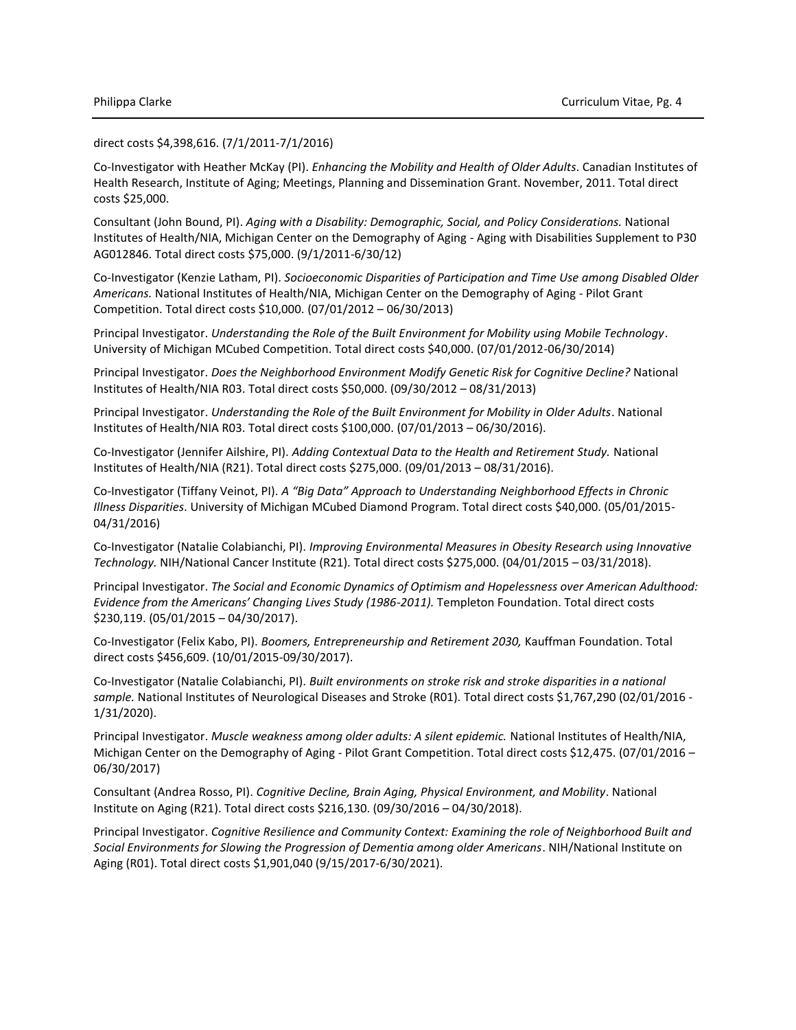direct costs \$4,398,616. (7/1/2011-7/1/2016)

Co-Investigator with Heather McKay (PI). *Enhancing the Mobility and Health of Older Adults*. Canadian Institutes of Health Research, Institute of Aging; Meetings, Planning and Dissemination Grant. November, 2011. Total direct costs \$25,000.

Consultant (John Bound, PI). *Aging with a Disability: Demographic, Social, and Policy Considerations.* National Institutes of Health/NIA, Michigan Center on the Demography of Aging - Aging with Disabilities Supplement to P30 AG012846. Total direct costs \$75,000. (9/1/2011-6/30/12)

Co-Investigator (Kenzie Latham, PI). *Socioeconomic Disparities of Participation and Time Use among Disabled Older Americans.* National Institutes of Health/NIA, Michigan Center on the Demography of Aging - Pilot Grant Competition. Total direct costs \$10,000. (07/01/2012 – 06/30/2013)

Principal Investigator. *Understanding the Role of the Built Environment for Mobility using Mobile Technology*. University of Michigan MCubed Competition. Total direct costs \$40,000. (07/01/2012-06/30/2014)

Principal Investigator. *Does the Neighborhood Environment Modify Genetic Risk for Cognitive Decline?* National Institutes of Health/NIA R03. Total direct costs \$50,000. (09/30/2012 – 08/31/2013)

Principal Investigator. *Understanding the Role of the Built Environment for Mobility in Older Adults*. National Institutes of Health/NIA R03. Total direct costs \$100,000. (07/01/2013 – 06/30/2016).

Co-Investigator (Jennifer Ailshire, PI). *Adding Contextual Data to the Health and Retirement Study.* National Institutes of Health/NIA (R21). Total direct costs \$275,000. (09/01/2013 – 08/31/2016).

Co-Investigator (Tiffany Veinot, PI). *A "Big Data" Approach to Understanding Neighborhood Effects in Chronic Illness Disparities*. University of Michigan MCubed Diamond Program. Total direct costs \$40,000. (05/01/2015- 04/31/2016)

Co-Investigator (Natalie Colabianchi, PI). *Improving Environmental Measures in Obesity Research using Innovative Technology.* NIH/National Cancer Institute (R21). Total direct costs \$275,000. (04/01/2015 – 03/31/2018).

Principal Investigator. *The Social and Economic Dynamics of Optimism and Hopelessness over American Adulthood: Evidence from the Americans' Changing Lives Study (1986-2011).* Templeton Foundation. Total direct costs \$230,119. (05/01/2015 – 04/30/2017).

Co-Investigator (Felix Kabo, PI). *Boomers, Entrepreneurship and Retirement 2030,* Kauffman Foundation. Total direct costs \$456,609. (10/01/2015-09/30/2017).

Co-Investigator (Natalie Colabianchi, PI). *Built environments on stroke risk and stroke disparities in a national sample.* National Institutes of Neurological Diseases and Stroke (R01). Total direct costs \$1,767,290 (02/01/2016 - 1/31/2020).

Principal Investigator. *Muscle weakness among older adults: A silent epidemic.* National Institutes of Health/NIA, Michigan Center on the Demography of Aging - Pilot Grant Competition. Total direct costs \$12,475. (07/01/2016 – 06/30/2017)

Consultant (Andrea Rosso, PI). *Cognitive Decline, Brain Aging, Physical Environment, and Mobility*. National Institute on Aging (R21). Total direct costs \$216,130. (09/30/2016 – 04/30/2018).

Principal Investigator. *Cognitive Resilience and Community Context: Examining the role of Neighborhood Built and Social Environments for Slowing the Progression of Dementia among older Americans*. NIH/National Institute on Aging (R01). Total direct costs \$1,901,040 (9/15/2017-6/30/2021).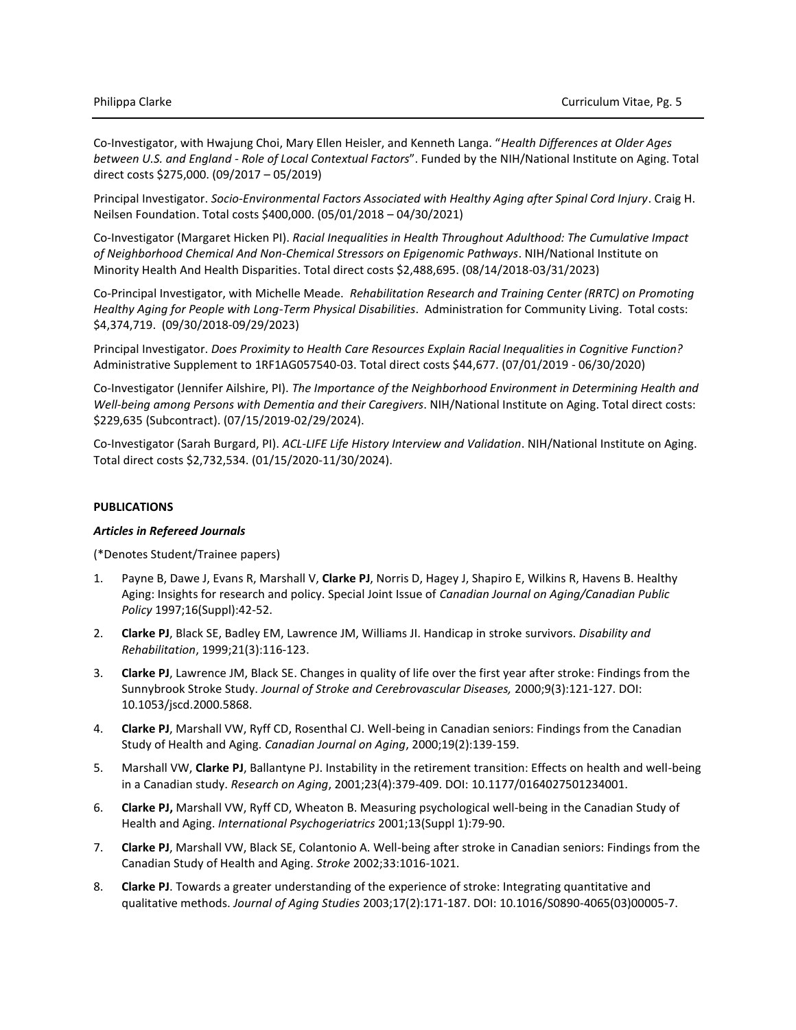Co-Investigator, with Hwajung Choi, Mary Ellen Heisler, and Kenneth Langa. "*Health Differences at Older Ages between U.S. and England - Role of Local Contextual Factors*". Funded by the NIH/National Institute on Aging. Total direct costs \$275,000. (09/2017 – 05/2019)

Principal Investigator. *Socio-Environmental Factors Associated with Healthy Aging after Spinal Cord Injury*. Craig H. Neilsen Foundation. Total costs \$400,000. (05/01/2018 – 04/30/2021)

Co-Investigator (Margaret Hicken PI). *Racial Inequalities in Health Throughout Adulthood: The Cumulative Impact of Neighborhood Chemical And Non-Chemical Stressors on Epigenomic Pathways*. NIH/National Institute on Minority Health And Health Disparities. Total direct costs \$2,488,695. (08/14/2018-03/31/2023)

Co-Principal Investigator, with Michelle Meade. *Rehabilitation Research and Training Center (RRTC) on Promoting Healthy Aging for People with Long-Term Physical Disabilities*. Administration for Community Living. Total costs: \$4,374,719. (09/30/2018-09/29/2023)

Principal Investigator. *Does Proximity to Health Care Resources Explain Racial Inequalities in Cognitive Function?* Administrative Supplement to 1RF1AG057540-03. Total direct costs \$44,677. (07/01/2019 - 06/30/2020)

Co-Investigator (Jennifer Ailshire, PI). *The Importance of the Neighborhood Environment in Determining Health and Well-being among Persons with Dementia and their Caregivers*. NIH/National Institute on Aging. Total direct costs: \$229,635 (Subcontract). (07/15/2019-02/29/2024).

Co-Investigator (Sarah Burgard, PI). *ACL-LIFE Life History Interview and Validation*. NIH/National Institute on Aging. Total direct costs \$2,732,534. (01/15/2020-11/30/2024).

### **PUBLICATIONS**

### *Articles in Refereed Journals*

(\*Denotes Student/Trainee papers)

- 1. Payne B, Dawe J, Evans R, Marshall V, **Clarke PJ**, Norris D, Hagey J, Shapiro E, Wilkins R, Havens B. Healthy Aging: Insights for research and policy. Special Joint Issue of *Canadian Journal on Aging/Canadian Public Policy* 1997;16(Suppl):42-52.
- 2. **Clarke PJ**, Black SE, Badley EM, Lawrence JM, Williams JI. Handicap in stroke survivors. *Disability and Rehabilitation*, 1999;21(3):116-123.
- 3. **Clarke PJ**, Lawrence JM, Black SE. Changes in quality of life over the first year after stroke: Findings from the Sunnybrook Stroke Study. *Journal of Stroke and Cerebrovascular Diseases,* 2000;9(3):121-127. DOI: 10.1053/jscd.2000.5868.
- 4. **Clarke PJ**, Marshall VW, Ryff CD, Rosenthal CJ. Well-being in Canadian seniors: Findings from the Canadian Study of Health and Aging. *Canadian Journal on Aging*, 2000;19(2):139-159.
- 5. Marshall VW, **Clarke PJ**, Ballantyne PJ. Instability in the retirement transition: Effects on health and well-being in a Canadian study. *Research on Aging*, 2001;23(4):379-409. DOI: 10.1177/0164027501234001.
- 6. **Clarke PJ,** Marshall VW, Ryff CD, Wheaton B. Measuring psychological well-being in the Canadian Study of Health and Aging. *International Psychogeriatrics* 2001;13(Suppl 1):79-90.
- 7. **Clarke PJ**, Marshall VW, Black SE, Colantonio A. Well-being after stroke in Canadian seniors: Findings from the Canadian Study of Health and Aging. *Stroke* 2002;33:1016-1021.
- 8. **Clarke PJ**. Towards a greater understanding of the experience of stroke: Integrating quantitative and qualitative methods. *Journal of Aging Studies* 2003;17(2):171-187. DOI: 10.1016/S0890-4065(03)00005-7.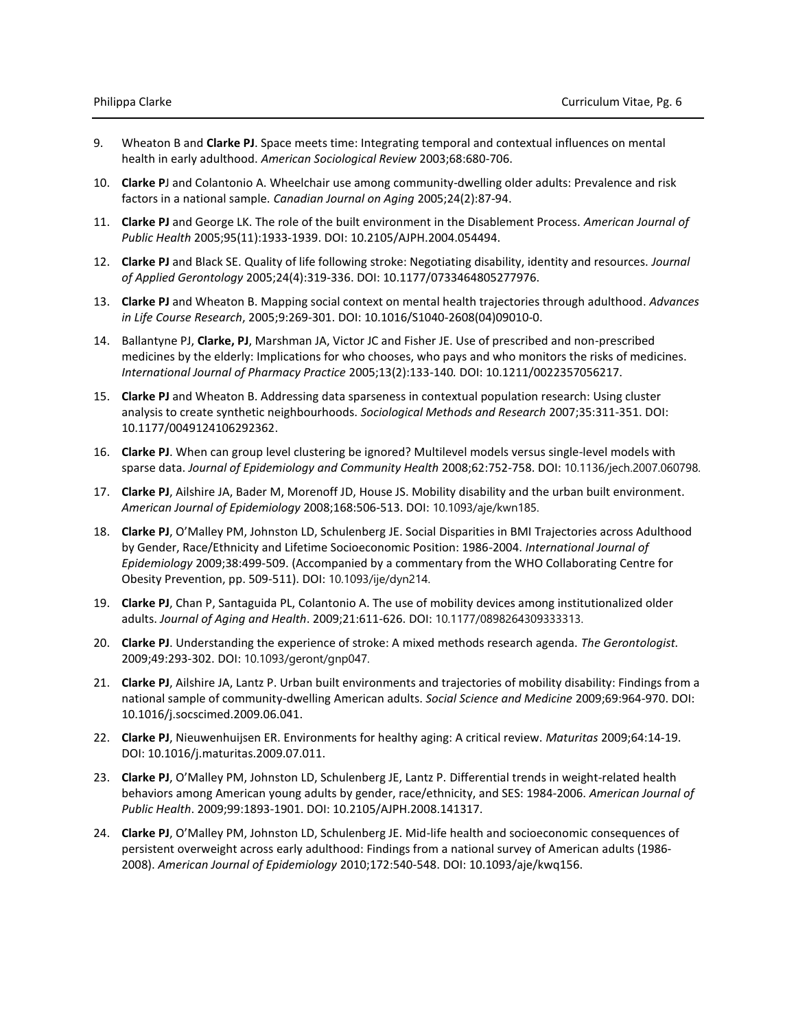- 9. Wheaton B and **Clarke PJ**. Space meets time: Integrating temporal and contextual influences on mental health in early adulthood. *American Sociological Review* 2003;68:680-706.
- 10. **Clarke P**J and Colantonio A. Wheelchair use among community-dwelling older adults: Prevalence and risk factors in a national sample. *Canadian Journal on Aging* 2005;24(2):87-94.
- 11. **Clarke PJ** and George LK. The role of the built environment in the Disablement Process. *American Journal of Public Health* 2005;95(11):1933-1939. DOI: 10.2105/AJPH.2004.054494.
- 12. **Clarke PJ** and Black SE. Quality of life following stroke: Negotiating disability, identity and resources. *Journal of Applied Gerontology* 2005;24(4):319-336. DOI: 10.1177/0733464805277976.
- 13. **Clarke PJ** and Wheaton B. Mapping social context on mental health trajectories through adulthood. *Advances in Life Course Research*, 2005;9:269-301. DOI: 10.1016/S1040-2608(04)09010-0.
- 14. Ballantyne PJ, **Clarke, PJ**, Marshman JA, Victor JC and Fisher JE. Use of prescribed and non-prescribed medicines by the elderly: Implications for who chooses, who pays and who monitors the risks of medicines. *International Journal of Pharmacy Practice* 2005;13(2):133-140*.* DOI: 10.1211/0022357056217.
- 15. **Clarke PJ** and Wheaton B. Addressing data sparseness in contextual population research: Using cluster analysis to create synthetic neighbourhoods. *Sociological Methods and Research* 2007;35:311-351. DOI: 10.1177/0049124106292362.
- 16. **Clarke PJ**. When can group level clustering be ignored? Multilevel models versus single-level models with sparse data. *Journal of Epidemiology and Community Health* 2008;62:752-758. DOI: 10.1136/jech.2007.060798.
- 17. **Clarke PJ**, Ailshire JA, Bader M, Morenoff JD, House JS. Mobility disability and the urban built environment. *American Journal of Epidemiology* 2008;168:506-513. DOI: 10.1093/aje/kwn185.
- 18. **Clarke PJ**, O'Malley PM, Johnston LD, Schulenberg JE. Social Disparities in BMI Trajectories across Adulthood by Gender, Race/Ethnicity and Lifetime Socioeconomic Position: 1986-2004. *International Journal of Epidemiology* 2009;38:499-509. (Accompanied by a commentary from the WHO Collaborating Centre for Obesity Prevention, pp. 509-511). DOI: 10.1093/ije/dyn214.
- 19. **Clarke PJ**, Chan P, Santaguida PL, Colantonio A. The use of mobility devices among institutionalized older adults. *Journal of Aging and Health*. 2009;21:611-626. DOI: 10.1177/0898264309333313.
- 20. **Clarke PJ**. Understanding the experience of stroke: A mixed methods research agenda. *The Gerontologist.*  2009;49:293-302. DOI: 10.1093/geront/gnp047.
- 21. **Clarke PJ**, Ailshire JA, Lantz P. Urban built environments and trajectories of mobility disability: Findings from a national sample of community-dwelling American adults. *Social Science and Medicine* 2009;69:964-970. DOI: 10.1016/j.socscimed.2009.06.041.
- 22. **Clarke PJ**, Nieuwenhuijsen ER. Environments for healthy aging: A critical review. *Maturitas* 2009;64:14-19. DOI: 10.1016/j.maturitas.2009.07.011.
- 23. **Clarke PJ**, O'Malley PM, Johnston LD, Schulenberg JE, Lantz P. Differential trends in weight-related health behaviors among American young adults by gender, race/ethnicity, and SES: 1984-2006. *American Journal of Public Health*. 2009;99:1893-1901. DOI: 10.2105/AJPH.2008.141317.
- 24. **Clarke PJ**, O'Malley PM, Johnston LD, Schulenberg JE. Mid-life health and socioeconomic consequences of persistent overweight across early adulthood: Findings from a national survey of American adults (1986- 2008). *American Journal of Epidemiology* 2010;172:540-548. DOI: 10.1093/aje/kwq156.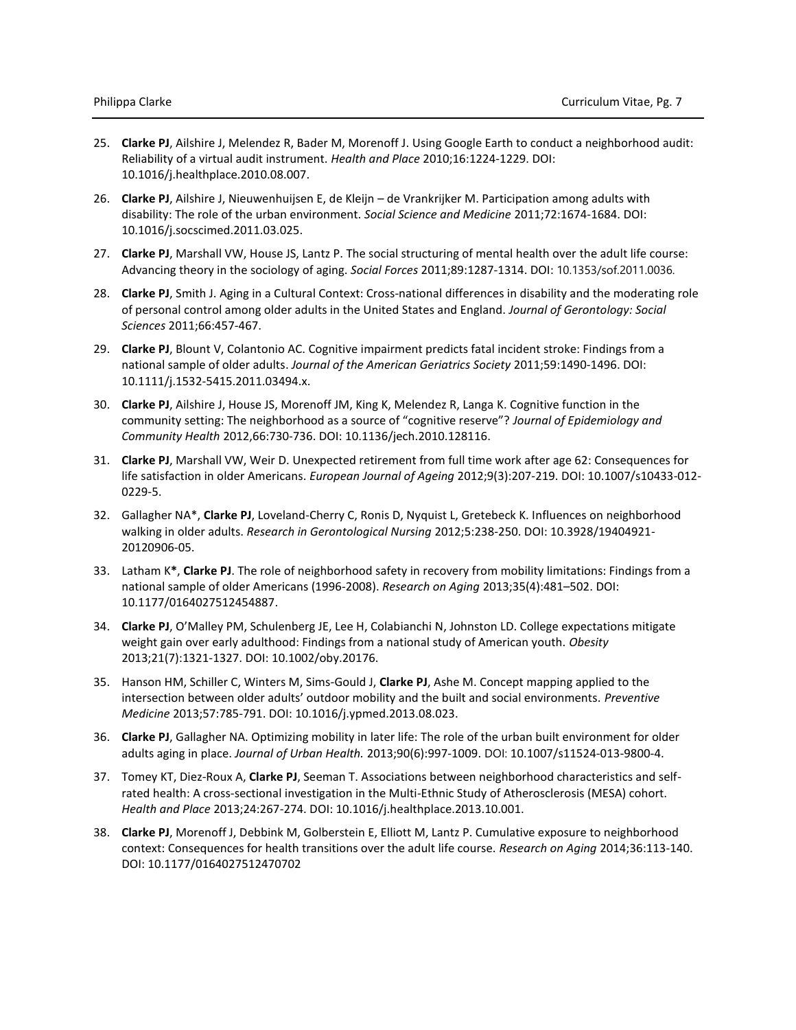- 25. **Clarke PJ**, Ailshire J, Melendez R, Bader M, Morenoff J. Using Google Earth to conduct a neighborhood audit: Reliability of a virtual audit instrument. *Health and Place* 2010;16:1224-1229. DOI: 10.1016/j.healthplace.2010.08.007.
- 26. **Clarke PJ**, Ailshire J, Nieuwenhuijsen E, de Kleijn de Vrankrijker M. Participation among adults with disability: The role of the urban environment. *Social Science and Medicine* 2011;72:1674-1684. DOI: 10.1016/j.socscimed.2011.03.025.
- 27. **Clarke PJ**, Marshall VW, House JS, Lantz P. The social structuring of mental health over the adult life course: Advancing theory in the sociology of aging. *Social Forces* 2011;89:1287-1314. DOI: 10.1353/sof.2011.0036.
- 28. **Clarke PJ**, Smith J. Aging in a Cultural Context: Cross-national differences in disability and the moderating role of personal control among older adults in the United States and England. *Journal of Gerontology: Social Sciences* 2011;66:457-467.
- 29. **Clarke PJ**, Blount V, Colantonio AC. Cognitive impairment predicts fatal incident stroke: Findings from a national sample of older adults. *Journal of the American Geriatrics Society* 2011;59:1490-1496. DOI: 10.1111/j.1532-5415.2011.03494.x.
- 30. **Clarke PJ**, Ailshire J, House JS, Morenoff JM, King K, Melendez R, Langa K. Cognitive function in the community setting: The neighborhood as a source of "cognitive reserve"? *Journal of Epidemiology and Community Health* 2012,66:730-736. DOI: 10.1136/jech.2010.128116.
- 31. **Clarke PJ**, Marshall VW, Weir D. Unexpected retirement from full time work after age 62: Consequences for life satisfaction in older Americans. *European Journal of Ageing* 2012;9(3):207-219. DOI: 10.1007/s10433-012- 0229-5.
- 32. Gallagher NA\*, **Clarke PJ**, Loveland-Cherry C, Ronis D, Nyquist L, Gretebeck K. Influences on neighborhood walking in older adults. *Research in Gerontological Nursing* 2012;5:238-250. DOI: 10.3928/19404921- 20120906-05.
- 33. Latham K**\***, **Clarke PJ**. The role of neighborhood safety in recovery from mobility limitations: Findings from a national sample of older Americans (1996-2008). *Research on Aging* 2013;35(4):481–502. DOI: 10.1177/0164027512454887.
- 34. **Clarke PJ**, O'Malley PM, Schulenberg JE, Lee H, Colabianchi N, Johnston LD. College expectations mitigate weight gain over early adulthood: Findings from a national study of American youth. *Obesity* 2013;21(7):1321-1327. DOI: 10.1002/oby.20176.
- 35. Hanson HM, Schiller C, Winters M, Sims-Gould J, **Clarke PJ**, Ashe M. Concept mapping applied to the intersection between older adults' outdoor mobility and the built and social environments. *Preventive Medicine* 2013;57:785-791. DOI: 10.1016/j.ypmed.2013.08.023.
- 36. **Clarke PJ**, Gallagher NA. Optimizing mobility in later life: The role of the urban built environment for older adults aging in place. *Journal of Urban Health.* 2013;90(6):997-1009. DOI: 10.1007/s11524-013-9800-4.
- 37. Tomey KT, Diez-Roux A, **Clarke PJ**, Seeman T. Associations between neighborhood characteristics and selfrated health: A cross-sectional investigation in the Multi-Ethnic Study of Atherosclerosis (MESA) cohort. *Health and Place* 2013;24:267-274. DOI: 10.1016/j.healthplace.2013.10.001.
- 38. **Clarke PJ**, Morenoff J, Debbink M, Golberstein E, Elliott M, Lantz P. Cumulative exposure to neighborhood context: Consequences for health transitions over the adult life course. *Research on Aging* 2014;36:113-140. DOI: 10.1177/0164027512470702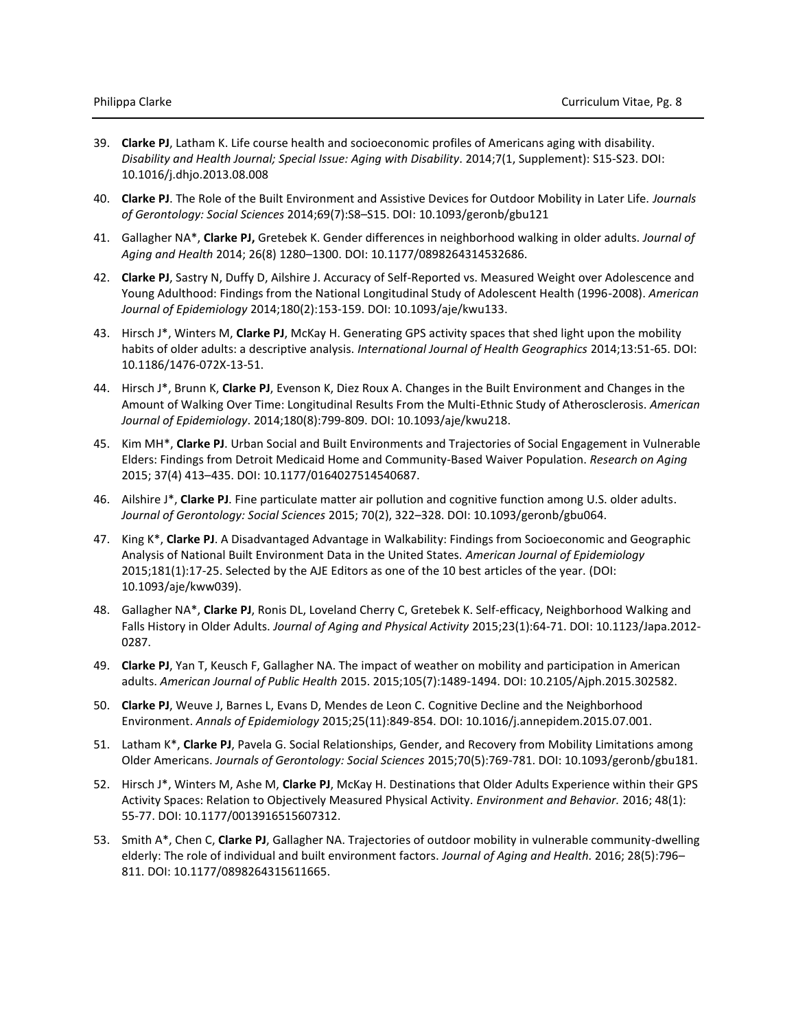- 39. **Clarke PJ**, Latham K. Life course health and socioeconomic profiles of Americans aging with disability. *Disability and Health Journal; Special Issue: Aging with Disability*. 2014;7(1, Supplement): S15-S23. DOI: 10.1016/j.dhjo.2013.08.008
- 40. **Clarke PJ**. The Role of the Built Environment and Assistive Devices for Outdoor Mobility in Later Life. *Journals of Gerontology: Social Sciences* 2014;69(7):S8–S15. DOI: 10.1093/geronb/gbu121
- 41. Gallagher NA\*, **Clarke PJ,** Gretebek K. Gender differences in neighborhood walking in older adults. *Journal of Aging and Health* 2014; 26(8) 1280–1300. DOI: 10.1177/0898264314532686.
- 42. **Clarke PJ**, Sastry N, Duffy D, Ailshire J. Accuracy of Self-Reported vs. Measured Weight over Adolescence and Young Adulthood: Findings from the National Longitudinal Study of Adolescent Health (1996-2008). *American Journal of Epidemiology* 2014;180(2):153-159. DOI: 10.1093/aje/kwu133.
- 43. Hirsch J\*, Winters M, **Clarke PJ**, McKay H. Generating GPS activity spaces that shed light upon the mobility habits of older adults: a descriptive analysis. *International Journal of Health Geographics* 2014;13:51-65. DOI: 10.1186/1476-072X-13-51.
- 44. Hirsch J\*, Brunn K, **Clarke PJ**, Evenson K, Diez Roux A. Changes in the Built Environment and Changes in the Amount of Walking Over Time: Longitudinal Results From the Multi-Ethnic Study of Atherosclerosis. *American Journal of Epidemiology*. 2014;180(8):799-809. DOI: 10.1093/aje/kwu218.
- 45. Kim MH\*, **Clarke PJ**. Urban Social and Built Environments and Trajectories of Social Engagement in Vulnerable Elders: Findings from Detroit Medicaid Home and Community-Based Waiver Population. *Research on Aging* 2015; 37(4) 413–435. DOI: 10.1177/0164027514540687.
- 46. Ailshire J\*, **Clarke PJ**. Fine particulate matter air pollution and cognitive function among U.S. older adults. *Journal of Gerontology: Social Sciences* 2015; 70(2), 322–328. DOI: 10.1093/geronb/gbu064.
- 47. King K\*, **Clarke PJ**. A Disadvantaged Advantage in Walkability: Findings from Socioeconomic and Geographic Analysis of National Built Environment Data in the United States. *American Journal of Epidemiology* 2015;181(1):17-25. Selected by the AJE Editors as one of the 10 best articles of the year. (DOI: 10.1093/aje/kww039).
- 48. Gallagher NA\*, **Clarke PJ**, Ronis DL, Loveland Cherry C, Gretebek K. Self-efficacy, Neighborhood Walking and Falls History in Older Adults. *Journal of Aging and Physical Activity* 2015;23(1):64-71. DOI: 10.1123/Japa.2012- 0287.
- 49. **Clarke PJ**, Yan T, Keusch F, Gallagher NA. The impact of weather on mobility and participation in American adults. *American Journal of Public Health* 2015. 2015;105(7):1489-1494. DOI: 10.2105/Ajph.2015.302582.
- 50. **Clarke PJ**, Weuve J, Barnes L, Evans D, Mendes de Leon C. Cognitive Decline and the Neighborhood Environment. *Annals of Epidemiology* 2015;25(11):849-854. DOI: 10.1016/j.annepidem.2015.07.001.
- 51. Latham K\*, **Clarke PJ**, Pavela G. Social Relationships, Gender, and Recovery from Mobility Limitations among Older Americans. *Journals of Gerontology: Social Sciences* 2015;70(5):769-781. DOI: 10.1093/geronb/gbu181.
- 52. Hirsch J\*, Winters M, Ashe M, **Clarke PJ**, McKay H. Destinations that Older Adults Experience within their GPS Activity Spaces: Relation to Objectively Measured Physical Activity. *Environment and Behavior.* 2016; 48(1): 55-77. DOI: 10.1177/0013916515607312.
- 53. Smith A\*, Chen C, **Clarke PJ**, Gallagher NA. Trajectories of outdoor mobility in vulnerable community-dwelling elderly: The role of individual and built environment factors. *Journal of Aging and Health.* 2016; 28(5):796– 811. DOI: 10.1177/0898264315611665.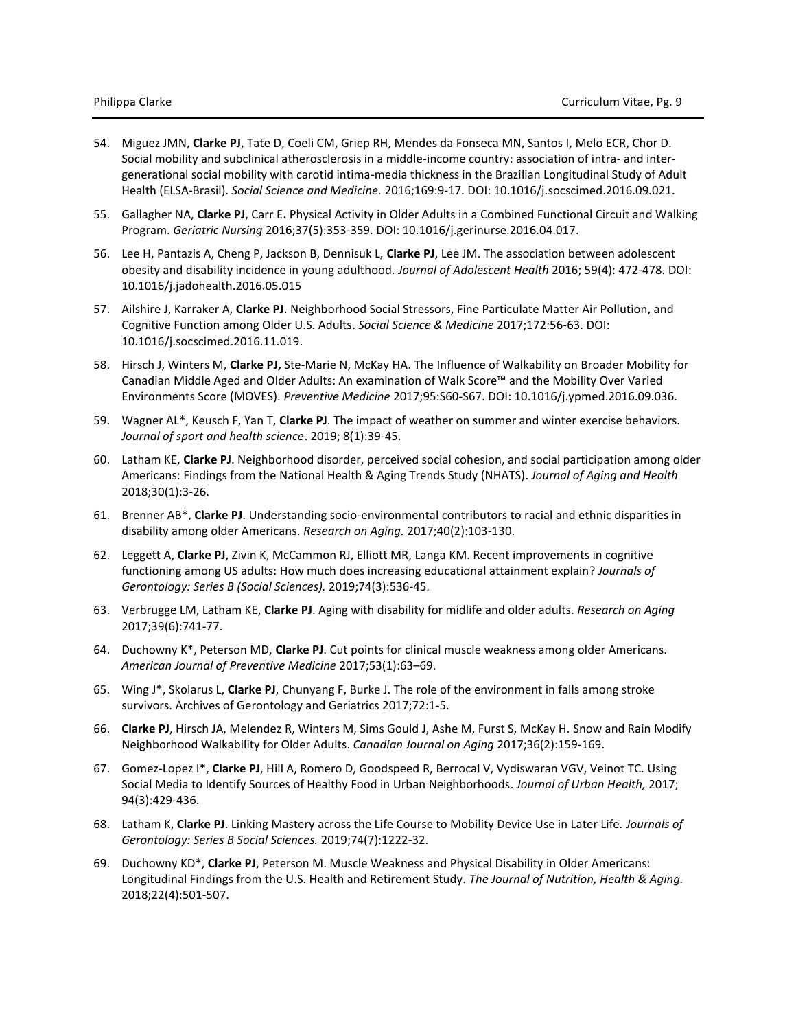- 54. Miguez JMN, **Clarke PJ**, Tate D, Coeli CM, Griep RH, Mendes da Fonseca MN, Santos I, Melo ECR, Chor D. Social mobility and subclinical atherosclerosis in a middle-income country: association of intra- and intergenerational social mobility with carotid intima-media thickness in the Brazilian Longitudinal Study of Adult Health (ELSA-Brasil). *Social Science and Medicine.* 2016;169:9-17. DOI: 10.1016/j.socscimed.2016.09.021.
- 55. Gallagher NA, **Clarke PJ**, Carr E**.** Physical Activity in Older Adults in a Combined Functional Circuit and Walking Program. *Geriatric Nursing* 2016;37(5):353-359. DOI: 10.1016/j.gerinurse.2016.04.017.
- 56. Lee H, Pantazis A, Cheng P, Jackson B, Dennisuk L, **Clarke PJ**, Lee JM. The association between adolescent obesity and disability incidence in young adulthood. *Journal of Adolescent Health* 2016; 59(4): 472-478. DOI: 10.1016/j.jadohealth.2016.05.015
- 57. Ailshire J, Karraker A, **Clarke PJ**. Neighborhood Social Stressors, Fine Particulate Matter Air Pollution, and Cognitive Function among Older U.S. Adults. *Social Science & Medicine* 2017;172:56-63. DOI: 10.1016/j.socscimed.2016.11.019.
- 58. Hirsch J, Winters M, **Clarke PJ,** Ste-Marie N, McKay HA. The Influence of Walkability on Broader Mobility for Canadian Middle Aged and Older Adults: An examination of Walk Score™ and the Mobility Over Varied Environments Score (MOVES). *Preventive Medicine* 2017;95:S60-S67. DOI: 10.1016/j.ypmed.2016.09.036.
- 59. Wagner AL\*, Keusch F, Yan T, **Clarke PJ**. The impact of weather on summer and winter exercise behaviors. *Journal of sport and health science*. 2019; 8(1):39-45.
- 60. Latham KE, **Clarke PJ**. Neighborhood disorder, perceived social cohesion, and social participation among older Americans: Findings from the National Health & Aging Trends Study (NHATS). *Journal of Aging and Health* 2018;30(1):3-26.
- 61. Brenner AB\*, **Clarke PJ**. Understanding socio-environmental contributors to racial and ethnic disparities in disability among older Americans. *Research on Aging.* 2017;40(2):103-130.
- 62. Leggett A, **Clarke PJ**, Zivin K, McCammon RJ, Elliott MR, Langa KM. Recent improvements in cognitive functioning among US adults: How much does increasing educational attainment explain? *Journals of Gerontology: Series B (Social Sciences).* 2019;74(3):536-45.
- 63. Verbrugge LM, Latham KE, **Clarke PJ**. Aging with disability for midlife and older adults. *Research on Aging* 2017;39(6):741-77.
- 64. Duchowny K\*, Peterson MD, **Clarke PJ**. Cut points for clinical muscle weakness among older Americans. *American Journal of Preventive Medicine* 2017;53(1):63–69.
- 65. Wing J\*, Skolarus L, **Clarke PJ**, Chunyang F, Burke J. The role of the environment in falls among stroke survivors. Archives of Gerontology and Geriatrics 2017;72:1-5.
- 66. **Clarke PJ**, Hirsch JA, Melendez R, Winters M, Sims Gould J, Ashe M, Furst S, McKay H. Snow and Rain Modify Neighborhood Walkability for Older Adults. *Canadian Journal on Aging* 2017;36(2):159-169.
- 67. Gomez-Lopez I\*, **Clarke PJ**, Hill A, Romero D, Goodspeed R, Berrocal V, Vydiswaran VGV, Veinot TC. Using Social Media to Identify Sources of Healthy Food in Urban Neighborhoods. *Journal of Urban Health,* 2017; 94(3):429-436.
- 68. Latham K, **Clarke PJ**. Linking Mastery across the Life Course to Mobility Device Use in Later Life. *Journals of Gerontology: Series B Social Sciences.* 2019;74(7):1222-32.
- 69. Duchowny KD\*, **Clarke PJ**, Peterson M. Muscle Weakness and Physical Disability in Older Americans: Longitudinal Findings from the U.S. Health and Retirement Study. *The Journal of Nutrition, Health & Aging.* 2018;22(4):501-507.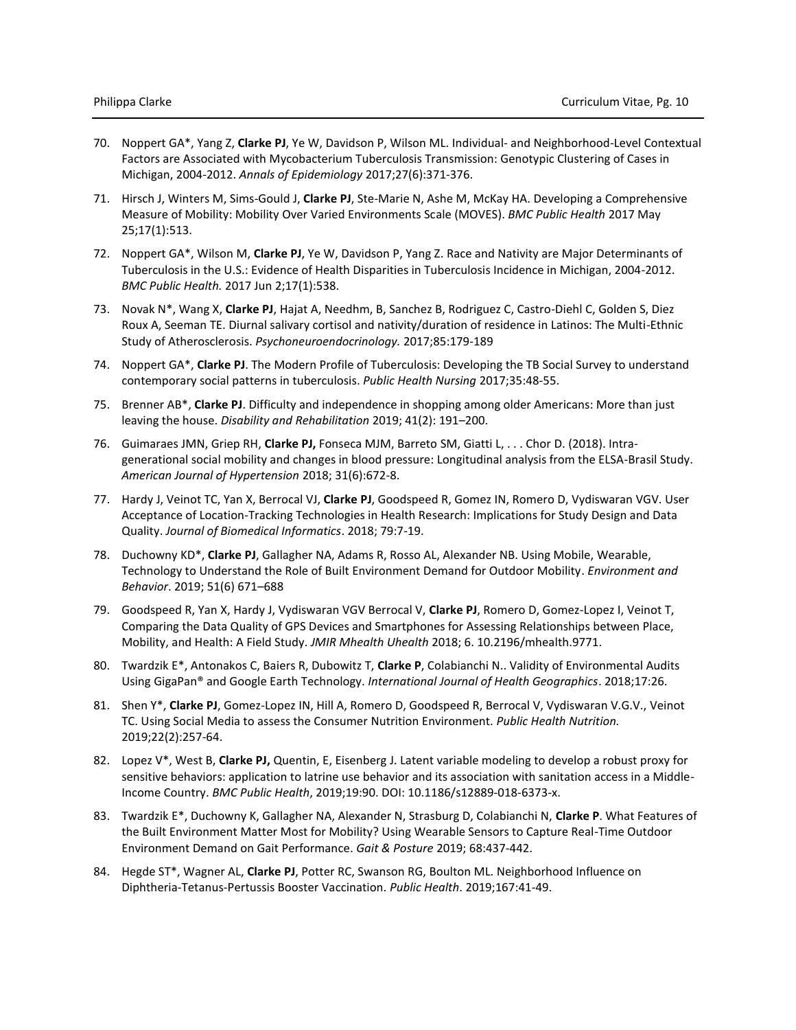- 70. Noppert GA\*, Yang Z, **Clarke PJ**, Ye W, Davidson P, Wilson ML. Individual- and Neighborhood-Level Contextual Factors are Associated with Mycobacterium Tuberculosis Transmission: Genotypic Clustering of Cases in Michigan, 2004-2012. *Annals of Epidemiology* 2017;27(6):371-376.
- 71. Hirsch J, Winters M, Sims-Gould J, **Clarke PJ**, Ste-Marie N, Ashe M, McKay HA. Developing a Comprehensive Measure of Mobility: Mobility Over Varied Environments Scale (MOVES). *BMC Public Health* 2017 May 25;17(1):513.
- 72. Noppert GA\*, Wilson M, **Clarke PJ**, Ye W, Davidson P, Yang Z. Race and Nativity are Major Determinants of Tuberculosis in the U.S.: Evidence of Health Disparities in Tuberculosis Incidence in Michigan, 2004-2012. *BMC Public Health.* 2017 Jun 2;17(1):538.
- 73. Novak N\*, Wang X, **Clarke PJ**, Hajat A, Needhm, B, Sanchez B, Rodriguez C, Castro-Diehl C, Golden S, Diez Roux A, Seeman TE. Diurnal salivary cortisol and nativity/duration of residence in Latinos: The Multi-Ethnic Study of Atherosclerosis. *Psychoneuroendocrinology.* 2017;85:179-189
- 74. Noppert GA\*, **Clarke PJ**. The Modern Profile of Tuberculosis: Developing the TB Social Survey to understand contemporary social patterns in tuberculosis. *Public Health Nursing* 2017;35:48-55.
- 75. Brenner AB\*, **Clarke PJ**. Difficulty and independence in shopping among older Americans: More than just leaving the house. *Disability and Rehabilitation* 2019; 41(2): 191–200.
- 76. Guimaraes JMN, Griep RH, **Clarke PJ,** Fonseca MJM, Barreto SM, Giatti L, . . . Chor D. (2018). Intragenerational social mobility and changes in blood pressure: Longitudinal analysis from the ELSA-Brasil Study. *American Journal of Hypertension* 2018; 31(6):672-8.
- 77. Hardy J, Veinot TC, Yan X, Berrocal VJ, **Clarke PJ**, Goodspeed R, Gomez IN, Romero D, Vydiswaran VGV. User Acceptance of Location-Tracking Technologies in Health Research: Implications for Study Design and Data Quality. *Journal of Biomedical Informatics*. 2018; 79:7-19.
- 78. Duchowny KD\*, **Clarke PJ**, Gallagher NA, Adams R, Rosso AL, Alexander NB. Using Mobile, Wearable, Technology to Understand the Role of Built Environment Demand for Outdoor Mobility. *Environment and Behavior*. 2019; 51(6) 671–688
- 79. Goodspeed R, Yan X, Hardy J, Vydiswaran VGV Berrocal V, **Clarke PJ**, Romero D, Gomez-Lopez I, Veinot T, Comparing the Data Quality of GPS Devices and Smartphones for Assessing Relationships between Place, Mobility, and Health: A Field Study. *JMIR Mhealth Uhealth* 2018; 6. 10.2196/mhealth.9771.
- 80. Twardzik E\*, Antonakos C, Baiers R, Dubowitz T, **Clarke P**, Colabianchi N.. Validity of Environmental Audits Using GigaPan® and Google Earth Technology. *International Journal of Health Geographics*. 2018;17:26.
- 81. Shen Y\*, **Clarke PJ**, Gomez-Lopez IN, Hill A, Romero D, Goodspeed R, Berrocal V, Vydiswaran V.G.V., Veinot TC. Using Social Media to assess the Consumer Nutrition Environment. *Public Health Nutrition.* 2019;22(2):257-64.
- 82. Lopez V\*, West B, **Clarke PJ,** Quentin, E, Eisenberg J. Latent variable modeling to develop a robust proxy for sensitive behaviors: application to latrine use behavior and its association with sanitation access in a Middle-Income Country. *BMC Public Health*, 2019;19:90. DOI: 10.1186/s12889-018-6373-x.
- 83. Twardzik E\*, Duchowny K, Gallagher NA, Alexander N, Strasburg D, Colabianchi N, **Clarke P**. What Features of the Built Environment Matter Most for Mobility? Using Wearable Sensors to Capture Real-Time Outdoor Environment Demand on Gait Performance. *Gait & Posture* 2019; 68:437-442.
- 84. Hegde ST\*, Wagner AL, **Clarke PJ**, Potter RC, Swanson RG, Boulton ML. Neighborhood Influence on Diphtheria-Tetanus-Pertussis Booster Vaccination. *Public Health*. 2019;167:41-49.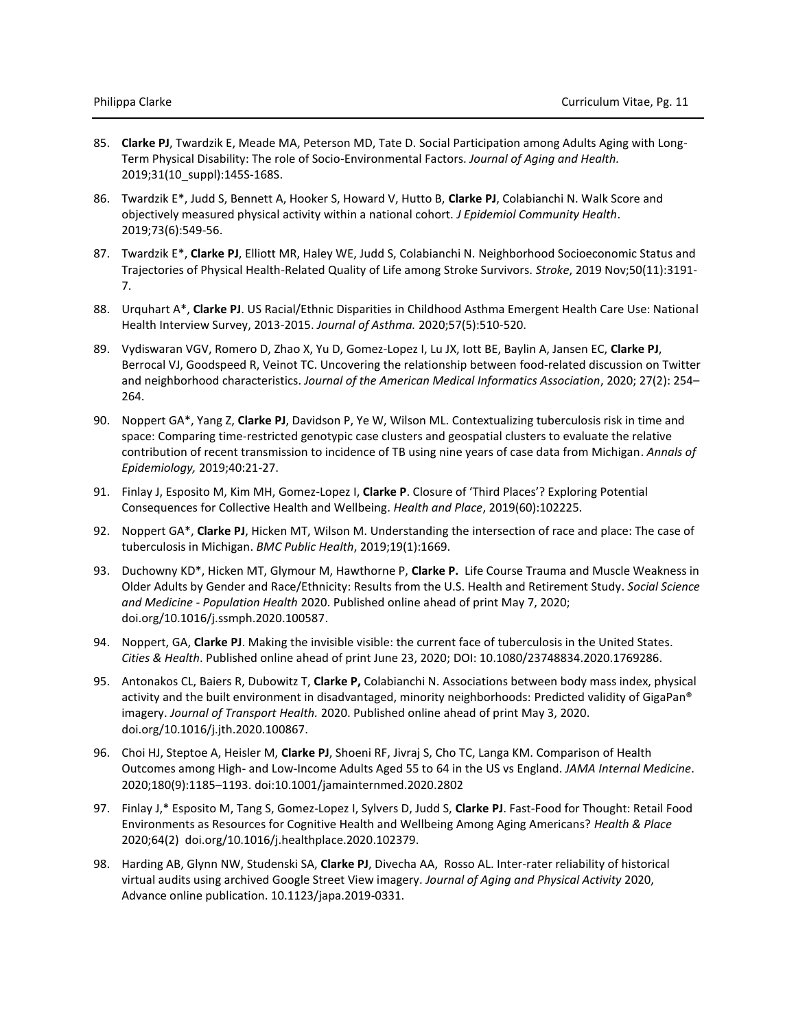- 85. **Clarke PJ**, Twardzik E, Meade MA, Peterson MD, Tate D. Social Participation among Adults Aging with Long-Term Physical Disability: The role of Socio-Environmental Factors. *Journal of Aging and Health.*  2019;31(10\_suppl):145S-168S.
- 86. Twardzik E\*, Judd S, Bennett A, Hooker S, Howard V, Hutto B, **Clarke PJ**, Colabianchi N. Walk Score and objectively measured physical activity within a national cohort. *J Epidemiol Community Health*. 2019;73(6):549-56.
- 87. Twardzik E\*, **Clarke PJ**, Elliott MR, Haley WE, Judd S, Colabianchi N. Neighborhood Socioeconomic Status and Trajectories of Physical Health-Related Quality of Life among Stroke Survivors. *Stroke*, 2019 Nov;50(11):3191- 7.
- 88. Urquhart A\*, **Clarke PJ**. US Racial/Ethnic Disparities in Childhood Asthma Emergent Health Care Use: National Health Interview Survey, 2013-2015. *Journal of Asthma.* 2020;57(5):510-520.
- 89. Vydiswaran VGV, Romero D, Zhao X, Yu D, Gomez-Lopez I, Lu JX, Iott BE, Baylin A, Jansen EC, **Clarke PJ**, Berrocal VJ, Goodspeed R, Veinot TC. Uncovering the relationship between food-related discussion on Twitter and neighborhood characteristics. *Journal of the American Medical Informatics Association*, 2020; 27(2): 254– 264.
- 90. Noppert GA\*, Yang Z, **Clarke PJ**, Davidson P, Ye W, Wilson ML. Contextualizing tuberculosis risk in time and space: Comparing time-restricted genotypic case clusters and geospatial clusters to evaluate the relative contribution of recent transmission to incidence of TB using nine years of case data from Michigan. *Annals of Epidemiology,* 2019;40:21-27.
- 91. Finlay J, Esposito M, Kim MH, Gomez-Lopez I, **Clarke P**. Closure of 'Third Places'? Exploring Potential Consequences for Collective Health and Wellbeing. *Health and Place*, 2019(60):102225.
- 92. Noppert GA\*, **Clarke PJ**, Hicken MT, Wilson M. Understanding the intersection of race and place: The case of tuberculosis in Michigan. *BMC Public Health*, 2019;19(1):1669.
- 93. Duchowny KD\*, Hicken MT, Glymour M, Hawthorne P, **Clarke P.** Life Course Trauma and Muscle Weakness in Older Adults by Gender and Race/Ethnicity: Results from the U.S. Health and Retirement Study. *Social Science and Medicine - Population Health* 2020. Published online ahead of print May 7, 2020; doi.org/10.1016/j.ssmph.2020.100587.
- 94. Noppert, GA, **Clarke PJ**. Making the invisible visible: the current face of tuberculosis in the United States. *Cities & Health*. Published online ahead of print June 23, 2020; DOI: 10.1080/23748834.2020.1769286.
- 95. Antonakos CL, Baiers R, Dubowitz T, **Clarke P,** Colabianchi N. Associations between body mass index, physical activity and the built environment in disadvantaged, minority neighborhoods: Predicted validity of GigaPan® imagery. *Journal of Transport Health.* 2020. Published online ahead of print May 3, 2020. doi.org/10.1016/j.jth.2020.100867.
- 96. Choi HJ, Steptoe A, Heisler M, **Clarke PJ**, Shoeni RF, Jivraj S, Cho TC, Langa KM. Comparison of Health Outcomes among High- and Low-Income Adults Aged 55 to 64 in the US vs England. *JAMA Internal Medicine*. 2020;180(9):1185–1193. doi:10.1001/jamainternmed.2020.2802
- 97. Finlay J,\* Esposito M, Tang S, Gomez-Lopez I, Sylvers D, Judd S, **Clarke PJ**. Fast-Food for Thought: Retail Food Environments as Resources for Cognitive Health and Wellbeing Among Aging Americans? *Health & Place* 2020;64(2) doi.org/10.1016/j.healthplace.2020.102379.
- 98. Harding AB, Glynn NW, Studenski SA, **Clarke PJ**, Divecha AA, Rosso AL. Inter-rater reliability of historical virtual audits using archived Google Street View imagery. *Journal of Aging and Physical Activity* 2020, Advance online publication. 10.1123/japa.2019-0331.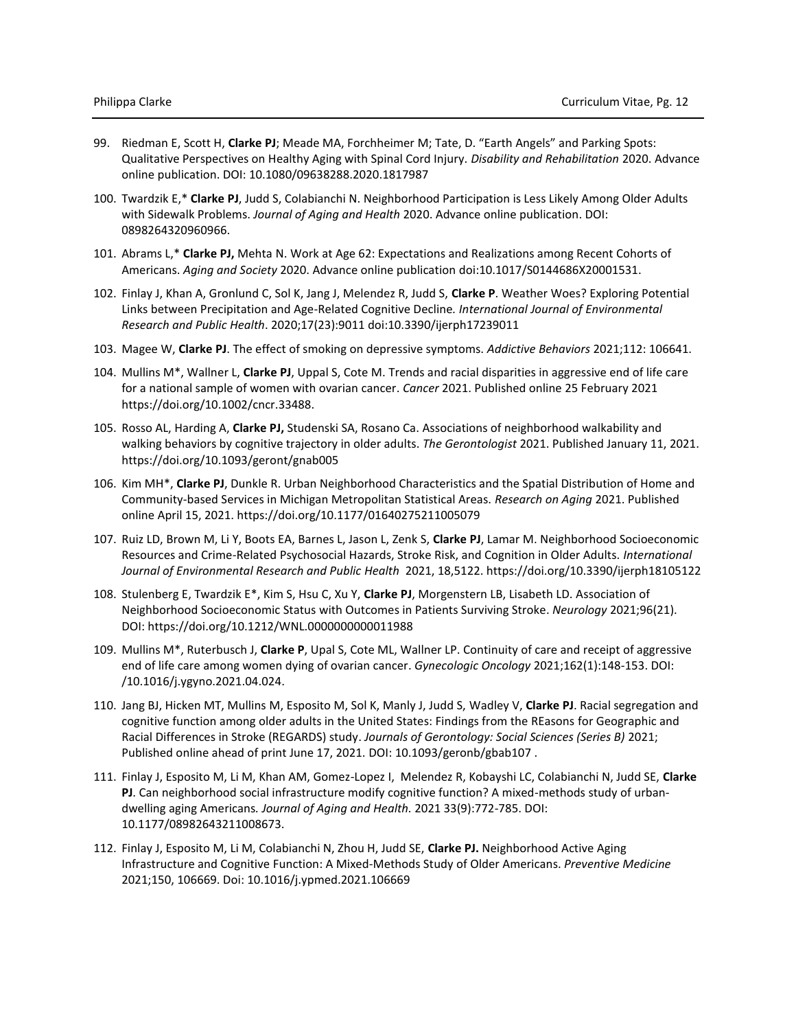- 99. Riedman E, Scott H, **Clarke PJ**; Meade MA, Forchheimer M; Tate, D. "Earth Angels" and Parking Spots: Qualitative Perspectives on Healthy Aging with Spinal Cord Injury. *Disability and Rehabilitation* 2020. Advance online publication. DOI: 10.1080/09638288.2020.1817987
- 100. Twardzik E,\* **Clarke PJ**, Judd S, Colabianchi N. Neighborhood Participation is Less Likely Among Older Adults with Sidewalk Problems. *Journal of Aging and Health* 2020. Advance online publication. DOI: 0898264320960966.
- 101. Abrams L,\* **Clarke PJ,** Mehta N. Work at Age 62: Expectations and Realizations among Recent Cohorts of Americans. *Aging and Society* 2020. Advance online publication doi:10.1017/S0144686X20001531.
- 102. Finlay J, Khan A, Gronlund C, Sol K, Jang J, Melendez R, Judd S, **Clarke P**. Weather Woes? Exploring Potential Links between Precipitation and Age-Related Cognitive Decline*. International Journal of Environmental Research and Public Health*. 2020;17(23):9011 doi:10.3390/ijerph17239011
- 103. Magee W, **Clarke PJ**. The effect of smoking on depressive symptoms. *Addictive Behaviors* 2021;112: 106641.
- 104. Mullins M\*, Wallner L, **Clarke PJ**, Uppal S, Cote M. Trends and racial disparities in aggressive end of life care for a national sample of women with ovarian cancer. *Cancer* 2021. Published online 25 February 2021 https://doi.org/10.1002/cncr.33488.
- 105. Rosso AL, Harding A, **Clarke PJ,** Studenski SA, Rosano Ca. Associations of neighborhood walkability and walking behaviors by cognitive trajectory in older adults. *The Gerontologist* 2021. Published January 11, 2021. https://doi.org/10.1093/geront/gnab005
- 106. Kim MH\*, **Clarke PJ**, Dunkle R. Urban Neighborhood Characteristics and the Spatial Distribution of Home and Community-based Services in Michigan Metropolitan Statistical Areas. *Research on Aging* 2021. Published online April 15, 2021. https://doi.org/10.1177/01640275211005079
- 107. Ruiz LD, Brown M, Li Y, Boots EA, Barnes L, Jason L, Zenk S, **Clarke PJ**, Lamar M. Neighborhood Socioeconomic Resources and Crime-Related Psychosocial Hazards, Stroke Risk, and Cognition in Older Adults. *International Journal of Environmental Research and Public Health* 2021, 18,5122. https://doi.org/10.3390/ijerph18105122
- 108. Stulenberg E, Twardzik E\*, Kim S, Hsu C, Xu Y, **Clarke PJ**, Morgenstern LB, Lisabeth LD. Association of Neighborhood Socioeconomic Status with Outcomes in Patients Surviving Stroke. *Neurology* 2021;96(21). DOI: https://doi.org/10.1212/WNL.0000000000011988
- 109. Mullins M\*, Ruterbusch J, **Clarke P**, Upal S, Cote ML, Wallner LP. Continuity of care and receipt of aggressive end of life care among women dying of ovarian cancer. *Gynecologic Oncology* 2021;162(1):148-153. DOI: /10.1016/j.ygyno.2021.04.024.
- 110. Jang BJ, Hicken MT, Mullins M, Esposito M, Sol K, Manly J, Judd S, Wadley V, **Clarke PJ**. Racial segregation and cognitive function among older adults in the United States: Findings from the REasons for Geographic and Racial Differences in Stroke (REGARDS) study. *Journals of Gerontology: Social Sciences (Series B)* 2021; Published online ahead of print June 17, 2021. DOI: 10.1093/geronb/gbab107 .
- 111. Finlay J, Esposito M, Li M, Khan AM, Gomez-Lopez I, Melendez R, Kobayshi LC, Colabianchi N, Judd SE, **Clarke PJ**. Can neighborhood social infrastructure modify cognitive function? A mixed-methods study of urbandwelling aging Americans*. Journal of Aging and Health.* 2021 33(9):772-785. DOI: 10.1177/08982643211008673.
- 112. Finlay J, Esposito M, Li M, Colabianchi N, Zhou H, Judd SE, **Clarke PJ.** Neighborhood Active Aging Infrastructure and Cognitive Function: A Mixed-Methods Study of Older Americans. *Preventive Medicine* 2021;150, 106669. Doi: 10.1016/j.ypmed.2021.106669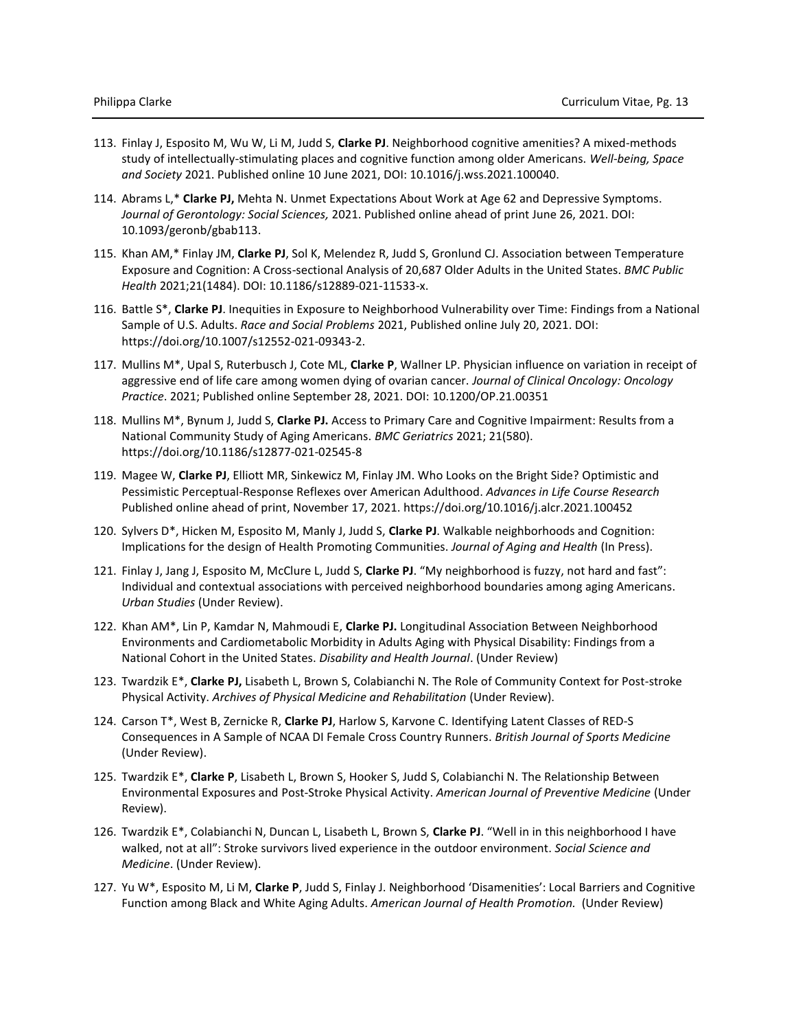- 113. Finlay J, Esposito M, Wu W, Li M, Judd S, **Clarke PJ**. Neighborhood cognitive amenities? A mixed-methods study of intellectually-stimulating places and cognitive function among older Americans. *Well-being, Space and Society* 2021. Published online 10 June 2021, DOI: 10.1016/j.wss.2021.100040.
- 114. Abrams L,\* **Clarke PJ,** Mehta N. Unmet Expectations About Work at Age 62 and Depressive Symptoms. *Journal of Gerontology: Social Sciences,* 2021. Published online ahead of print June 26, 2021. DOI: 10.1093/geronb/gbab113.
- 115. Khan AM,\* Finlay JM, **Clarke PJ**, Sol K, Melendez R, Judd S, Gronlund CJ. Association between Temperature Exposure and Cognition: A Cross-sectional Analysis of 20,687 Older Adults in the United States. *BMC Public Health* 2021;21(1484). DOI: 10.1186/s12889-021-11533-x.
- 116. Battle S\*, **Clarke PJ**. Inequities in Exposure to Neighborhood Vulnerability over Time: Findings from a National Sample of U.S. Adults. *Race and Social Problems* 2021, Published online July 20, 2021. DOI: https://doi.org/10.1007/s12552-021-09343-2.
- 117. Mullins M\*, Upal S, Ruterbusch J, Cote ML, **Clarke P**, Wallner LP. Physician influence on variation in receipt of aggressive end of life care among women dying of ovarian cancer. *Journal of Clinical Oncology: Oncology Practice*. 2021; Published online September 28, 2021. DOI: 10.1200/OP.21.00351
- 118. Mullins M\*, Bynum J, Judd S, **Clarke PJ.** Access to Primary Care and Cognitive Impairment: Results from a National Community Study of Aging Americans. *BMC Geriatrics* 2021; 21(580). https://doi.org/10.1186/s12877-021-02545-8
- 119. Magee W, **Clarke PJ**, Elliott MR, Sinkewicz M, Finlay JM. Who Looks on the Bright Side? Optimistic and Pessimistic Perceptual-Response Reflexes over American Adulthood. *Advances in Life Course Research* Published online ahead of print, November 17, 2021. https://doi.org/10.1016/j.alcr.2021.100452
- 120. Sylvers D\*, Hicken M, Esposito M, Manly J, Judd S, **Clarke PJ**. Walkable neighborhoods and Cognition: Implications for the design of Health Promoting Communities. *Journal of Aging and Health* (In Press).
- 121. Finlay J, Jang J, Esposito M, McClure L, Judd S, **Clarke PJ**. "My neighborhood is fuzzy, not hard and fast": Individual and contextual associations with perceived neighborhood boundaries among aging Americans. *Urban Studies* (Under Review).
- 122. Khan AM\*, Lin P, Kamdar N, Mahmoudi E, **Clarke PJ.** Longitudinal Association Between Neighborhood Environments and Cardiometabolic Morbidity in Adults Aging with Physical Disability: Findings from a National Cohort in the United States. *Disability and Health Journal*. (Under Review)
- 123. Twardzik E\*, **Clarke PJ,** Lisabeth L, Brown S, Colabianchi N. The Role of Community Context for Post-stroke Physical Activity. *Archives of Physical Medicine and Rehabilitation* (Under Review).
- 124. Carson T\*, West B, Zernicke R, **Clarke PJ**, Harlow S, Karvone C. Identifying Latent Classes of RED-S Consequences in A Sample of NCAA DI Female Cross Country Runners. *British Journal of Sports Medicine* (Under Review).
- 125. Twardzik E\*, **Clarke P**, Lisabeth L, Brown S, Hooker S, Judd S, Colabianchi N. The Relationship Between Environmental Exposures and Post-Stroke Physical Activity. *American Journal of Preventive Medicine* (Under Review).
- 126. Twardzik E\*, Colabianchi N, Duncan L, Lisabeth L, Brown S, **Clarke PJ**. "Well in in this neighborhood I have walked, not at all": Stroke survivors lived experience in the outdoor environment. *Social Science and Medicine*. (Under Review).
- 127. Yu W\*, Esposito M, Li M, **Clarke P**, Judd S, Finlay J. Neighborhood 'Disamenities': Local Barriers and Cognitive Function among Black and White Aging Adults. *American Journal of Health Promotion.* (Under Review)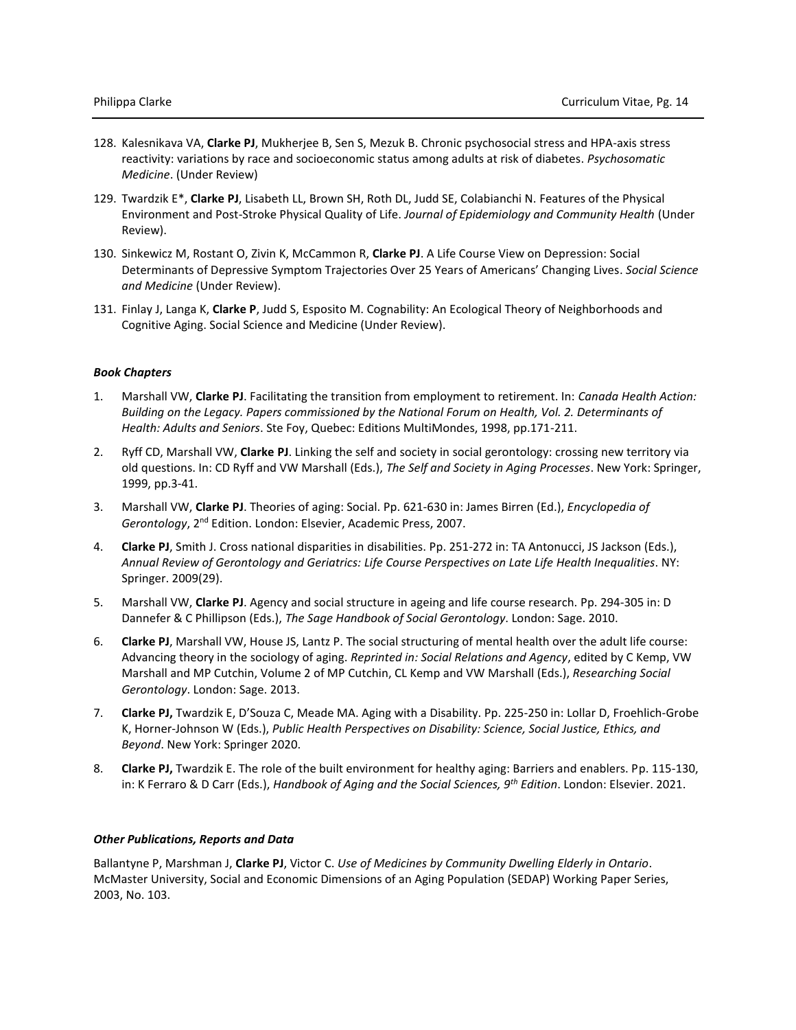- 128. Kalesnikava VA, **Clarke PJ**, Mukherjee B, Sen S, Mezuk B. Chronic psychosocial stress and HPA-axis stress reactivity: variations by race and socioeconomic status among adults at risk of diabetes. *Psychosomatic Medicine*. (Under Review)
- 129. Twardzik E\*, **Clarke PJ**, Lisabeth LL, Brown SH, Roth DL, Judd SE, Colabianchi N. Features of the Physical Environment and Post-Stroke Physical Quality of Life. *Journal of Epidemiology and Community Health* (Under Review).
- 130. Sinkewicz M, Rostant O, Zivin K, McCammon R, **Clarke PJ**. A Life Course View on Depression: Social Determinants of Depressive Symptom Trajectories Over 25 Years of Americans' Changing Lives. *Social Science and Medicine* (Under Review).
- 131. Finlay J, Langa K, **Clarke P**, Judd S, Esposito M. Cognability: An Ecological Theory of Neighborhoods and Cognitive Aging. Social Science and Medicine (Under Review).

### *Book Chapters*

- 1. Marshall VW, **Clarke PJ**. Facilitating the transition from employment to retirement. In: *Canada Health Action: Building on the Legacy. Papers commissioned by the National Forum on Health, Vol. 2. Determinants of Health: Adults and Seniors*. Ste Foy, Quebec: Editions MultiMondes, 1998, pp.171-211.
- 2. Ryff CD, Marshall VW, **Clarke PJ**. Linking the self and society in social gerontology: crossing new territory via old questions. In: CD Ryff and VW Marshall (Eds.), *The Self and Society in Aging Processes*. New York: Springer, 1999, pp.3-41.
- 3. Marshall VW, **Clarke PJ**. Theories of aging: Social. Pp. 621-630 in: James Birren (Ed.), *Encyclopedia of Gerontology*, 2nd Edition. London: Elsevier, Academic Press, 2007.
- 4. **Clarke PJ**, Smith J. Cross national disparities in disabilities. Pp. 251-272 in: TA Antonucci, JS Jackson (Eds.), *Annual Review of Gerontology and Geriatrics: Life Course Perspectives on Late Life Health Inequalities*. NY: Springer. 2009(29).
- 5. Marshall VW, **Clarke PJ**. Agency and social structure in ageing and life course research. Pp. 294-305 in: D Dannefer & C Phillipson (Eds.), *The Sage Handbook of Social Gerontology*. London: Sage. 2010.
- 6. **Clarke PJ**, Marshall VW, House JS, Lantz P. The social structuring of mental health over the adult life course: Advancing theory in the sociology of aging. *Reprinted in: Social Relations and Agency*, edited by C Kemp, VW Marshall and MP Cutchin, Volume 2 of MP Cutchin, CL Kemp and VW Marshall (Eds.), *Researching Social Gerontology*. London: Sage. 2013.
- 7. **Clarke PJ,** Twardzik E, D'Souza C, Meade MA. Aging with a Disability. Pp. 225-250 in: Lollar D, Froehlich-Grobe K, Horner-Johnson W (Eds.), *Public Health Perspectives on Disability: Science, Social Justice, Ethics, and Beyond*. New York: Springer 2020.
- 8. **Clarke PJ,** Twardzik E. The role of the built environment for healthy aging: Barriers and enablers. Pp. 115-130, in: K Ferraro & D Carr (Eds.), *Handbook of Aging and the Social Sciences, 9th Edition*. London: Elsevier. 2021.

#### *Other Publications, Reports and Data*

Ballantyne P, Marshman J, **Clarke PJ**, Victor C. *Use of Medicines by Community Dwelling Elderly in Ontario*. McMaster University, Social and Economic Dimensions of an Aging Population (SEDAP) Working Paper Series, 2003, No. 103.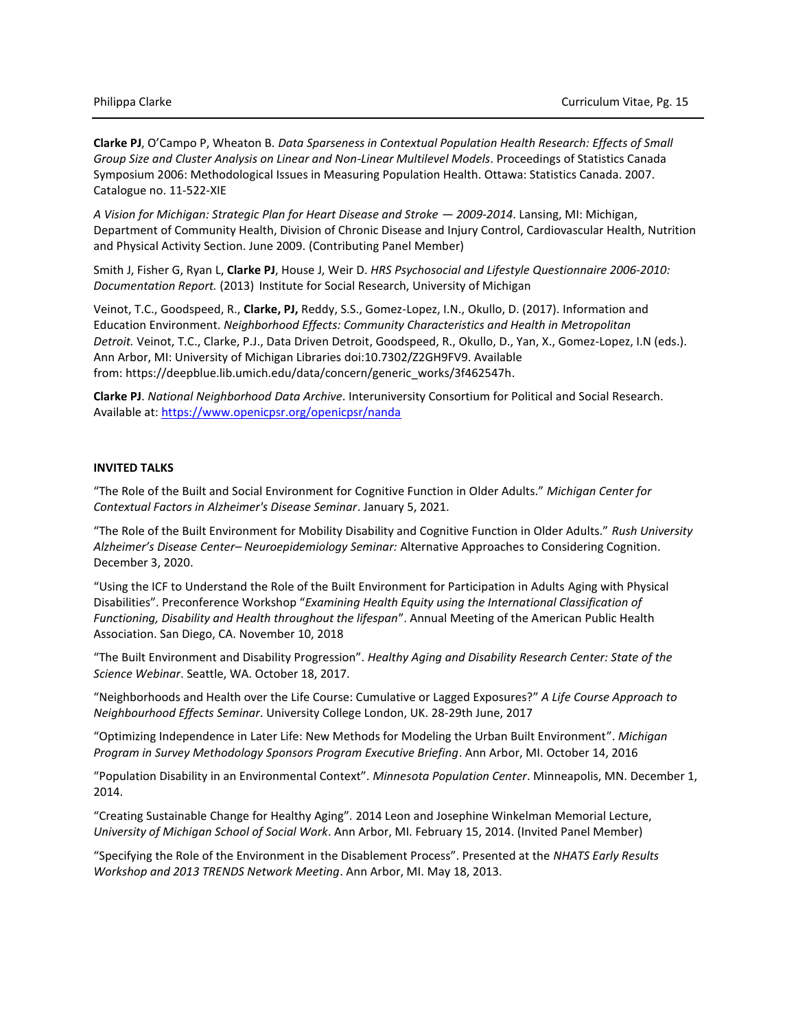**Clarke PJ**, O'Campo P, Wheaton B. *Data Sparseness in Contextual Population Health Research: Effects of Small Group Size and Cluster Analysis on Linear and Non-Linear Multilevel Models*. Proceedings of Statistics Canada Symposium 2006: Methodological Issues in Measuring Population Health. Ottawa: Statistics Canada. 2007. Catalogue no. 11-522-XIE

*A Vision for Michigan: Strategic Plan for Heart Disease and Stroke — 2009-2014*. Lansing, MI: Michigan, Department of Community Health, Division of Chronic Disease and Injury Control, Cardiovascular Health, Nutrition and Physical Activity Section. June 2009. (Contributing Panel Member)

Smith J, Fisher G, Ryan L, **Clarke PJ**, House J, Weir D. *HRS Psychosocial and Lifestyle Questionnaire 2006-2010: Documentation Report.* (2013) Institute for Social Research, University of Michigan

Veinot, T.C., Goodspeed, R., **Clarke, PJ,** Reddy, S.S., Gomez-Lopez, I.N., Okullo, D. (2017). Information and Education Environment. *Neighborhood Effects: Community Characteristics and Health in Metropolitan Detroit.* Veinot, T.C., Clarke, P.J., Data Driven Detroit, Goodspeed, R., Okullo, D., Yan, X., Gomez-Lopez, I.N (eds.). Ann Arbor, MI: University of Michigan Libraries doi:10.7302/Z2GH9FV9. Available from: https://deepblue.lib.umich.edu/data/concern/generic\_works/3f462547h.

**Clarke PJ**. *National Neighborhood Data Archive*. Interuniversity Consortium for Political and Social Research. Available at:<https://www.openicpsr.org/openicpsr/nanda>

# **INVITED TALKS**

"The Role of the Built and Social Environment for Cognitive Function in Older Adults." *Michigan Center for Contextual Factors in Alzheimer's Disease Seminar*. January 5, 2021.

"The Role of the Built Environment for Mobility Disability and Cognitive Function in Older Adults." *Rush University Alzheimer's Disease Center– Neuroepidemiology Seminar:* Alternative Approaches to Considering Cognition. December 3, 2020.

"Using the ICF to Understand the Role of the Built Environment for Participation in Adults Aging with Physical Disabilities". Preconference Workshop "*Examining Health Equity using the International Classification of Functioning, Disability and Health throughout the lifespan*". Annual Meeting of the American Public Health Association. San Diego, CA. November 10, 2018

"The Built Environment and Disability Progression". *Healthy Aging and Disability Research Center: State of the Science Webinar*. Seattle, WA. October 18, 2017.

"Neighborhoods and Health over the Life Course: Cumulative or Lagged Exposures?" *A Life Course Approach to Neighbourhood Effects Seminar*. University College London, UK. 28-29th June, 2017

"Optimizing Independence in Later Life: New Methods for Modeling the Urban Built Environment". *Michigan Program in Survey Methodology Sponsors Program Executive Briefing*. Ann Arbor, MI. October 14, 2016

"Population Disability in an Environmental Context". *Minnesota Population Center*. Minneapolis, MN. December 1, 2014.

"Creating Sustainable Change for Healthy Aging". 2014 Leon and Josephine Winkelman Memorial Lecture, *University of Michigan School of Social Work*. Ann Arbor, MI. February 15, 2014. (Invited Panel Member)

"Specifying the Role of the Environment in the Disablement Process". Presented at the *NHATS Early Results Workshop and 2013 TRENDS Network Meeting*. Ann Arbor, MI. May 18, 2013.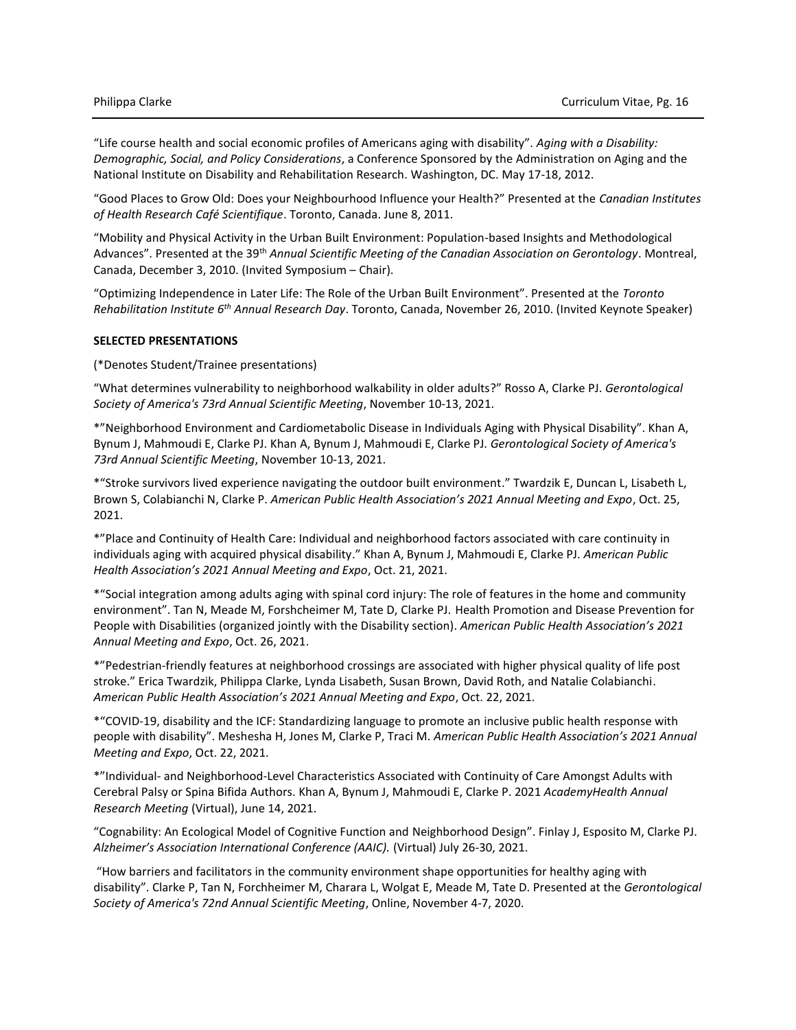"Life course health and social economic profiles of Americans aging with disability". *Aging with a Disability: Demographic, Social, and Policy Considerations*, a Conference Sponsored by the Administration on Aging and the National Institute on Disability and Rehabilitation Research. Washington, DC. May 17-18, 2012.

"Good Places to Grow Old: Does your Neighbourhood Influence your Health?" Presented at the *Canadian Institutes of Health Research Café Scientifique*. Toronto, Canada. June 8, 2011.

"Mobility and Physical Activity in the Urban Built Environment: Population-based Insights and Methodological Advances". Presented at the 39th *Annual Scientific Meeting of the Canadian Association on Gerontology*. Montreal, Canada, December 3, 2010. (Invited Symposium – Chair).

"Optimizing Independence in Later Life: The Role of the Urban Built Environment". Presented at the *Toronto Rehabilitation Institute 6th Annual Research Day*. Toronto, Canada, November 26, 2010. (Invited Keynote Speaker)

### **SELECTED PRESENTATIONS**

(\*Denotes Student/Trainee presentations)

"What determines vulnerability to neighborhood walkability in older adults?" Rosso A, Clarke PJ. *Gerontological Society of America's 73rd Annual Scientific Meeting*, November 10-13, 2021.

\*"Neighborhood Environment and Cardiometabolic Disease in Individuals Aging with Physical Disability". Khan A, Bynum J, Mahmoudi E, Clarke PJ. Khan A, Bynum J, Mahmoudi E, Clarke PJ. *Gerontological Society of America's 73rd Annual Scientific Meeting*, November 10-13, 2021.

\*"Stroke survivors lived experience navigating the outdoor built environment." Twardzik E, Duncan L, Lisabeth L, Brown S, Colabianchi N, Clarke P. *American Public Health Association's 2021 Annual Meeting and Expo*, Oct. 25, 2021.

\*"Place and Continuity of Health Care: Individual and neighborhood factors associated with care continuity in individuals aging with acquired physical disability." Khan A, Bynum J, Mahmoudi E, Clarke PJ. *American Public Health Association's 2021 Annual Meeting and Expo*, Oct. 21, 2021.

\*"Social integration among adults aging with spinal cord injury: The role of features in the home and community environment". Tan N, Meade M, Forshcheimer M, Tate D, Clarke PJ. Health Promotion and Disease Prevention for People with Disabilities (organized jointly with the Disability section). *American Public Health Association's 2021 Annual Meeting and Expo*, Oct. 26, 2021.

\*"Pedestrian-friendly features at neighborhood crossings are associated with higher physical quality of life post stroke." Erica Twardzik, Philippa Clarke, Lynda Lisabeth, Susan Brown, David Roth, and Natalie Colabianchi. *American Public Health Association's 2021 Annual Meeting and Expo*, Oct. 22, 2021.

\*"COVID-19, disability and the ICF: Standardizing language to promote an inclusive public health response with people with disability". Meshesha H, Jones M, Clarke P, Traci M. *American Public Health Association's 2021 Annual Meeting and Expo*, Oct. 22, 2021.

\*"Individual- and Neighborhood-Level Characteristics Associated with Continuity of Care Amongst Adults with Cerebral Palsy or Spina Bifida Authors. Khan A, Bynum J, Mahmoudi E, Clarke P. 2021 *AcademyHealth Annual Research Meeting* (Virtual), June 14, 2021.

"Cognability: An Ecological Model of Cognitive Function and Neighborhood Design". Finlay J, Esposito M, Clarke PJ. *Alzheimer's Association International Conference (AAIC).* (Virtual) July 26-30, 2021.

"How barriers and facilitators in the community environment shape opportunities for healthy aging with disability". Clarke P, Tan N, Forchheimer M, Charara L, Wolgat E, Meade M, Tate D. Presented at the *Gerontological Society of America's 72nd Annual Scientific Meeting*, Online, November 4-7, 2020.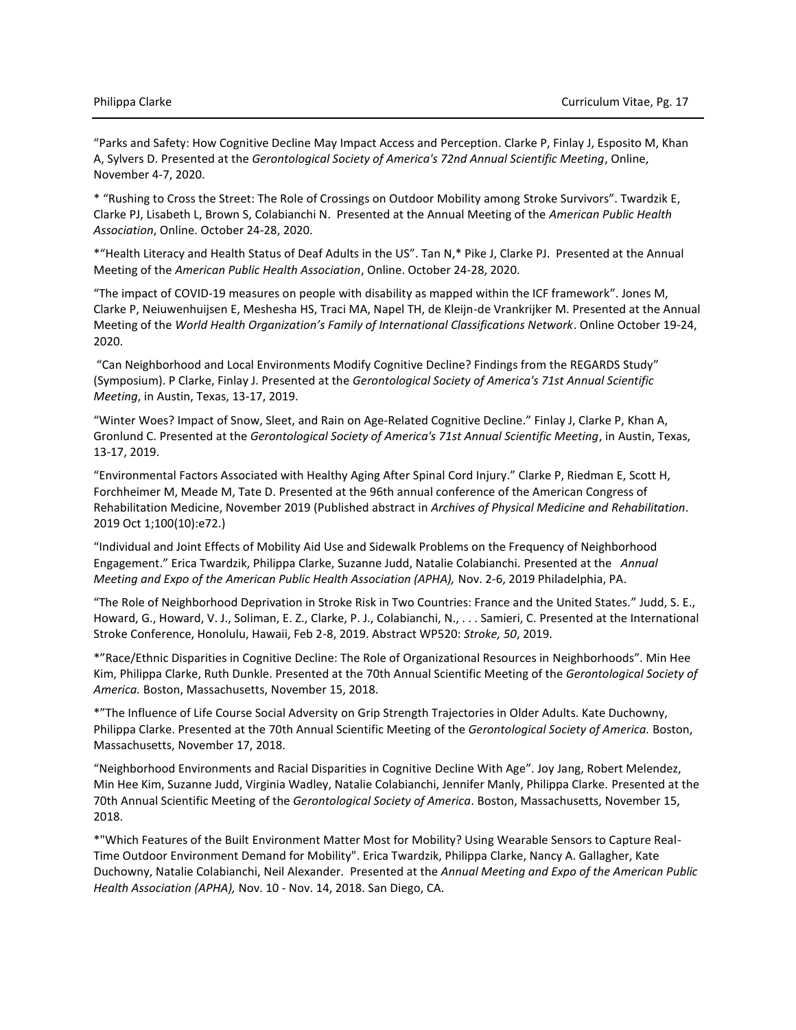"Parks and Safety: How Cognitive Decline May Impact Access and Perception. Clarke P, Finlay J, Esposito M, Khan A, Sylvers D. Presented at the *Gerontological Society of America's 72nd Annual Scientific Meeting*, Online, November 4-7, 2020.

\* "Rushing to Cross the Street: The Role of Crossings on Outdoor Mobility among Stroke Survivors". Twardzik E, Clarke PJ, Lisabeth L, Brown S, Colabianchi N. Presented at the Annual Meeting of the *American Public Health Association*, Online. October 24-28, 2020.

\*"Health Literacy and Health Status of Deaf Adults in the US". Tan N,\* Pike J, Clarke PJ. Presented at the Annual Meeting of the *American Public Health Association*, Online. October 24-28, 2020.

"The impact of COVID-19 measures on people with disability as mapped within the ICF framework". Jones M, Clarke P, Neiuwenhuijsen E, Meshesha HS, Traci MA, Napel TH, de Kleijn-de Vrankrijker M. Presented at the Annual Meeting of the *World Health Organization's Family of International Classifications Network*. Online October 19-24, 2020.

"Can Neighborhood and Local Environments Modify Cognitive Decline? Findings from the REGARDS Study" (Symposium). P Clarke, Finlay J. Presented at the *Gerontological Society of America's 71st Annual Scientific Meeting*, in Austin, Texas, 13-17, 2019.

"Winter Woes? Impact of Snow, Sleet, and Rain on Age-Related Cognitive Decline." Finlay J, Clarke P, Khan A, Gronlund C. Presented at the *Gerontological Society of America's 71st Annual Scientific Meeting*, in Austin, Texas, 13-17, 2019.

"Environmental Factors Associated with Healthy Aging After Spinal Cord Injury." Clarke P, Riedman E, Scott H, Forchheimer M, Meade M, Tate D. Presented at the 96th annual conference of the American Congress of Rehabilitation Medicine, November 2019 (Published abstract in *Archives of Physical Medicine and Rehabilitation*. 2019 Oct 1;100(10):e72.)

"Individual and Joint Effects of Mobility Aid Use and Sidewalk Problems on the Frequency of Neighborhood Engagement." Erica Twardzik, Philippa Clarke, Suzanne Judd, Natalie Colabianchi. Presented at the *Annual Meeting and Expo of the American Public Health Association (APHA),* Nov. 2-6, 2019 Philadelphia, PA.

"The Role of Neighborhood Deprivation in Stroke Risk in Two Countries: France and the United States." Judd, S. E., Howard, G., Howard, V. J., Soliman, E. Z., Clarke, P. J., Colabianchi, N., . . . Samieri, C. Presented at the International Stroke Conference, Honolulu, Hawaii, Feb 2-8, 2019. Abstract WP520: *Stroke, 50*, 2019.

\*"Race/Ethnic Disparities in Cognitive Decline: The Role of Organizational Resources in Neighborhoods". Min Hee Kim, Philippa Clarke, Ruth Dunkle. Presented at the 70th Annual Scientific Meeting of the *Gerontological Society of America.* Boston, Massachusetts, November 15, 2018.

\*"The Influence of Life Course Social Adversity on Grip Strength Trajectories in Older Adults. Kate Duchowny, Philippa Clarke. Presented at the 70th Annual Scientific Meeting of the *Gerontological Society of America.* Boston, Massachusetts, November 17, 2018.

"Neighborhood Environments and Racial Disparities in Cognitive Decline With Age". Joy Jang, Robert Melendez, Min Hee Kim, Suzanne Judd, Virginia Wadley, Natalie Colabianchi, Jennifer Manly, Philippa Clarke. Presented at the 70th Annual Scientific Meeting of the *Gerontological Society of America*. Boston, Massachusetts, November 15, 2018.

\*"Which Features of the Built Environment Matter Most for Mobility? Using Wearable Sensors to Capture Real-Time Outdoor Environment Demand for Mobility". Erica Twardzik, Philippa Clarke, Nancy A. Gallagher, Kate Duchowny, Natalie Colabianchi, Neil Alexander. Presented at the *Annual Meeting and Expo of the American Public Health Association (APHA),* Nov. 10 - Nov. 14, 2018. San Diego, CA.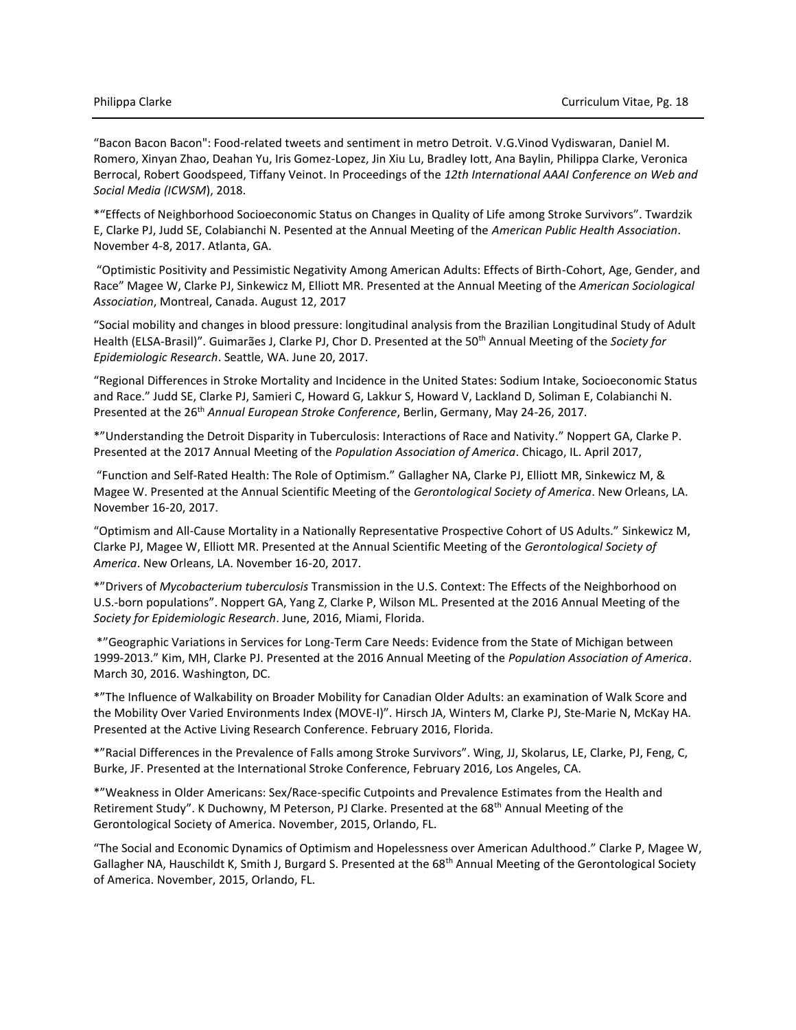"Bacon Bacon Bacon": Food-related tweets and sentiment in metro Detroit. V.G.Vinod Vydiswaran, Daniel M. Romero, Xinyan Zhao, Deahan Yu, Iris Gomez-Lopez, Jin Xiu Lu, Bradley Iott, Ana Baylin, Philippa Clarke, Veronica Berrocal, Robert Goodspeed, Tiffany Veinot. In Proceedings of the *12th International AAAI Conference on Web and Social Media (ICWSM*), 2018.

\*"Effects of Neighborhood Socioeconomic Status on Changes in Quality of Life among Stroke Survivors". Twardzik E, Clarke PJ, Judd SE, Colabianchi N. Pesented at the Annual Meeting of the *American Public Health Association*. November 4-8, 2017. Atlanta, GA.

"Optimistic Positivity and Pessimistic Negativity Among American Adults: Effects of Birth-Cohort, Age, Gender, and Race" Magee W, Clarke PJ, Sinkewicz M, Elliott MR. Presented at the Annual Meeting of the *American Sociological Association*, Montreal, Canada. August 12, 2017

"Social mobility and changes in blood pressure: longitudinal analysis from the Brazilian Longitudinal Study of Adult Health (ELSA-Brasil)". Guimarães J, Clarke PJ, Chor D. Presented at the 50th Annual Meeting of the *Society for Epidemiologic Research*. Seattle, WA. June 20, 2017.

"Regional Differences in Stroke Mortality and Incidence in the United States: Sodium Intake, Socioeconomic Status and Race." Judd SE, Clarke PJ, Samieri C, Howard G, Lakkur S, Howard V, Lackland D, Soliman E, Colabianchi N. Presented at the 26th *Annual European Stroke Conference*, Berlin, Germany, May 24-26, 2017.

\*"Understanding the Detroit Disparity in Tuberculosis: Interactions of Race and Nativity." Noppert GA, Clarke P. Presented at the 2017 Annual Meeting of the *Population Association of America*. Chicago, IL. April 2017,

"Function and Self-Rated Health: The Role of Optimism." Gallagher NA, Clarke PJ, Elliott MR, Sinkewicz M, & Magee W. Presented at the Annual Scientific Meeting of the *Gerontological Society of America*. New Orleans, LA. November 16-20, 2017.

"Optimism and All-Cause Mortality in a Nationally Representative Prospective Cohort of US Adults." Sinkewicz M, Clarke PJ, Magee W, Elliott MR. Presented at the Annual Scientific Meeting of the *Gerontological Society of America*. New Orleans, LA. November 16-20, 2017.

\*"Drivers of *Mycobacterium tuberculosis* Transmission in the U.S. Context: The Effects of the Neighborhood on U.S.-born populations". Noppert GA, Yang Z, Clarke P, Wilson ML. Presented at the 2016 Annual Meeting of the *Society for Epidemiologic Research*. June, 2016, Miami, Florida.

\*"Geographic Variations in Services for Long-Term Care Needs: Evidence from the State of Michigan between 1999-2013." Kim, MH, Clarke PJ. Presented at the 2016 Annual Meeting of the *Population Association of America*. March 30, 2016. Washington, DC.

\*"The Influence of Walkability on Broader Mobility for Canadian Older Adults: an examination of Walk Score and the Mobility Over Varied Environments Index (MOVE-I)". Hirsch JA, Winters M, Clarke PJ, Ste-Marie N, McKay HA. Presented at the Active Living Research Conference. February 2016, Florida.

\*"Racial Differences in the Prevalence of Falls among Stroke Survivors". Wing, JJ, Skolarus, LE, Clarke, PJ, Feng, C, Burke, JF. Presented at the International Stroke Conference, February 2016, Los Angeles, CA.

\*"Weakness in Older Americans: Sex/Race-specific Cutpoints and Prevalence Estimates from the Health and Retirement Study". K Duchowny, M Peterson, PJ Clarke. Presented at the 68<sup>th</sup> Annual Meeting of the Gerontological Society of America. November, 2015, Orlando, FL.

"The Social and Economic Dynamics of Optimism and Hopelessness over American Adulthood." Clarke P, Magee W, Gallagher NA, Hauschildt K, Smith J, Burgard S. Presented at the 68<sup>th</sup> Annual Meeting of the Gerontological Society of America. November, 2015, Orlando, FL.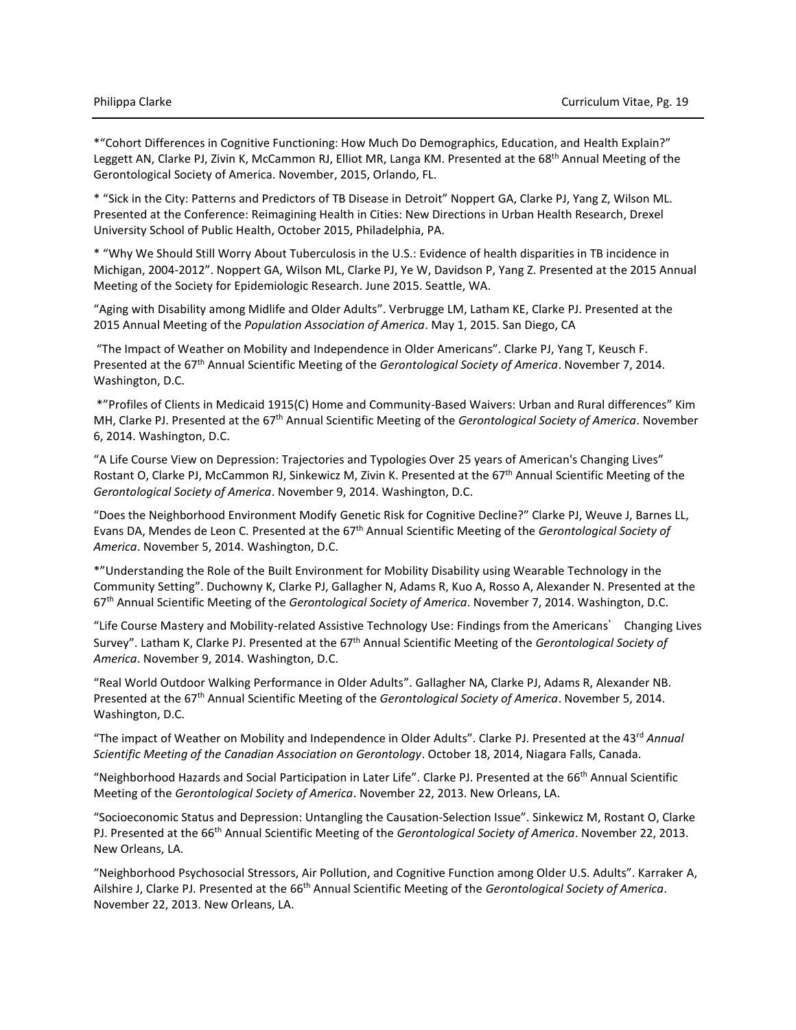\*"Cohort Differences in Cognitive Functioning: How Much Do Demographics, Education, and Health Explain?" Leggett AN, Clarke PJ, Zivin K, McCammon RJ, Elliot MR, Langa KM. Presented at the 68<sup>th</sup> Annual Meeting of the Gerontological Society of America. November, 2015, Orlando, FL.

\* "Sick in the City: Patterns and Predictors of TB Disease in Detroit" Noppert GA, Clarke PJ, Yang Z, Wilson ML. Presented at the Conference: Reimagining Health in Cities: New Directions in Urban Health Research, Drexel University School of Public Health, October 2015, Philadelphia, PA.

\* "Why We Should Still Worry About Tuberculosis in the U.S.: Evidence of health disparities in TB incidence in Michigan, 2004-2012". Noppert GA, Wilson ML, Clarke PJ, Ye W, Davidson P, Yang Z. Presented at the 2015 Annual Meeting of the Society for Epidemiologic Research. June 2015. Seattle, WA.

"Aging with Disability among Midlife and Older Adults". Verbrugge LM, Latham KE, Clarke PJ. Presented at the 2015 Annual Meeting of the *Population Association of America*. May 1, 2015. San Diego, CA

"The Impact of Weather on Mobility and Independence in Older Americans". Clarke PJ, Yang T, Keusch F. Presented at the 67<sup>th</sup> Annual Scientific Meeting of the *Gerontological Society of America*. November 7, 2014. Washington, D.C.

\*"Profiles of Clients in Medicaid 1915(C) Home and Community-Based Waivers: Urban and Rural differences" Kim MH, Clarke PJ. Presented at the 67<sup>th</sup> Annual Scientific Meeting of the *Gerontological Society of America*. November 6, 2014. Washington, D.C.

"A Life Course View on Depression: Trajectories and Typologies Over 25 years of American's Changing Lives" Rostant O, Clarke PJ, McCammon RJ, Sinkewicz M, Zivin K. Presented at the 67<sup>th</sup> Annual Scientific Meeting of the *Gerontological Society of America*. November 9, 2014. Washington, D.C.

"Does the Neighborhood Environment Modify Genetic Risk for Cognitive Decline?" Clarke PJ, Weuve J, Barnes LL, Evans DA, Mendes de Leon C. Presented at the 67<sup>th</sup> Annual Scientific Meeting of the *Gerontological Society of America*. November 5, 2014. Washington, D.C.

\*"Understanding the Role of the Built Environment for Mobility Disability using Wearable Technology in the Community Setting". Duchowny K, Clarke PJ, Gallagher N, Adams R, Kuo A, Rosso A, Alexander N. Presented at the 67 th Annual Scientific Meeting of the *Gerontological Society of America*. November 7, 2014. Washington, D.C.

"Life Course Mastery and Mobility-related Assistive Technology Use: Findings from the Americans' Changing Lives Survey". Latham K, Clarke PJ. Presented at the 67<sup>th</sup> Annual Scientific Meeting of the *Gerontological Society of America*. November 9, 2014. Washington, D.C.

"Real World Outdoor Walking Performance in Older Adults". Gallagher NA, Clarke PJ, Adams R, Alexander NB. Presented at the 67<sup>th</sup> Annual Scientific Meeting of the *Gerontological Society of America*. November 5, 2014. Washington, D.C.

"The impact of Weather on Mobility and Independence in Older Adults". Clarke PJ. Presented at the 43rd *Annual Scientific Meeting of the Canadian Association on Gerontology*. October 18, 2014, Niagara Falls, Canada.

"Neighborhood Hazards and Social Participation in Later Life". Clarke PJ. Presented at the 66th Annual Scientific Meeting of the *Gerontological Society of America*. November 22, 2013. New Orleans, LA.

"Socioeconomic Status and Depression: Untangling the Causation-Selection Issue". Sinkewicz M, Rostant O, Clarke PJ. Presented at the 66th Annual Scientific Meeting of the *Gerontological Society of America*. November 22, 2013. New Orleans, LA.

"Neighborhood Psychosocial Stressors, Air Pollution, and Cognitive Function among Older U.S. Adults". Karraker A, Ailshire J, Clarke PJ. Presented at the 66th Annual Scientific Meeting of the *Gerontological Society of America*. November 22, 2013. New Orleans, LA.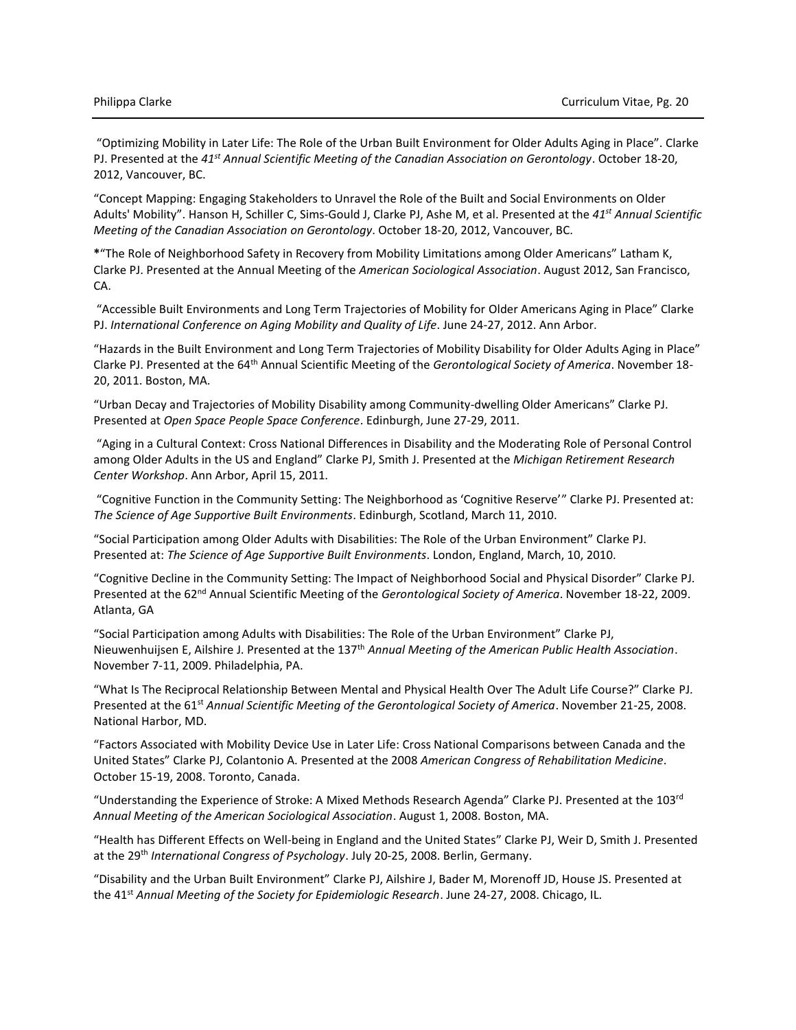"Optimizing Mobility in Later Life: The Role of the Urban Built Environment for Older Adults Aging in Place". Clarke PJ. Presented at the *41st Annual Scientific Meeting of the Canadian Association on Gerontology*. October 18-20, 2012, Vancouver, BC.

"Concept Mapping: Engaging Stakeholders to Unravel the Role of the Built and Social Environments on Older Adults' Mobility". Hanson H, Schiller C, Sims-Gould J, Clarke PJ, Ashe M, et al. Presented at the *41st Annual Scientific Meeting of the Canadian Association on Gerontology*. October 18-20, 2012, Vancouver, BC.

**\***"The Role of Neighborhood Safety in Recovery from Mobility Limitations among Older Americans" Latham K, Clarke PJ. Presented at the Annual Meeting of the *American Sociological Association*. August 2012, San Francisco, CA.

"Accessible Built Environments and Long Term Trajectories of Mobility for Older Americans Aging in Place" Clarke PJ. *International Conference on Aging Mobility and Quality of Life*. June 24-27, 2012. Ann Arbor.

"Hazards in the Built Environment and Long Term Trajectories of Mobility Disability for Older Adults Aging in Place" Clarke PJ. Presented at the 64th Annual Scientific Meeting of the *Gerontological Society of America*. November 18- 20, 2011. Boston, MA.

"Urban Decay and Trajectories of Mobility Disability among Community-dwelling Older Americans" Clarke PJ. Presented at *Open Space People Space Conference*. Edinburgh, June 27-29, 2011.

"Aging in a Cultural Context: Cross National Differences in Disability and the Moderating Role of Personal Control among Older Adults in the US and England" Clarke PJ, Smith J. Presented at the *Michigan Retirement Research Center Workshop*. Ann Arbor, April 15, 2011.

"Cognitive Function in the Community Setting: The Neighborhood as 'Cognitive Reserve'" Clarke PJ. Presented at: *The Science of Age Supportive Built Environments*. Edinburgh, Scotland, March 11, 2010.

"Social Participation among Older Adults with Disabilities: The Role of the Urban Environment" Clarke PJ. Presented at: *The Science of Age Supportive Built Environments*. London, England, March, 10, 2010.

"Cognitive Decline in the Community Setting: The Impact of Neighborhood Social and Physical Disorder" Clarke PJ. Presented at the 62nd Annual Scientific Meeting of the *Gerontological Society of America*. November 18-22, 2009. Atlanta, GA

"Social Participation among Adults with Disabilities: The Role of the Urban Environment" Clarke PJ, Nieuwenhuijsen E, Ailshire J. Presented at the 137th *Annual Meeting of the American Public Health Association*. November 7-11, 2009. Philadelphia, PA.

"What Is The Reciprocal Relationship Between Mental and Physical Health Over The Adult Life Course?" Clarke PJ. Presented at the 61<sup>st</sup> Annual Scientific Meeting of the Gerontological Society of America. November 21-25, 2008. National Harbor, MD.

"Factors Associated with Mobility Device Use in Later Life: Cross National Comparisons between Canada and the United States" Clarke PJ, Colantonio A. Presented at the 2008 *American Congress of Rehabilitation Medicine*. October 15-19, 2008. Toronto, Canada.

"Understanding the Experience of Stroke: A Mixed Methods Research Agenda" Clarke PJ. Presented at the 103<sup>rd</sup> *Annual Meeting of the American Sociological Association*. August 1, 2008. Boston, MA.

"Health has Different Effects on Well-being in England and the United States" Clarke PJ, Weir D, Smith J. Presented at the 29th *International Congress of Psychology*. July 20-25, 2008. Berlin, Germany.

"Disability and the Urban Built Environment" Clarke PJ, Ailshire J, Bader M, Morenoff JD, House JS. Presented at the 41st *Annual Meeting of the Society for Epidemiologic Research*. June 24-27, 2008. Chicago, IL.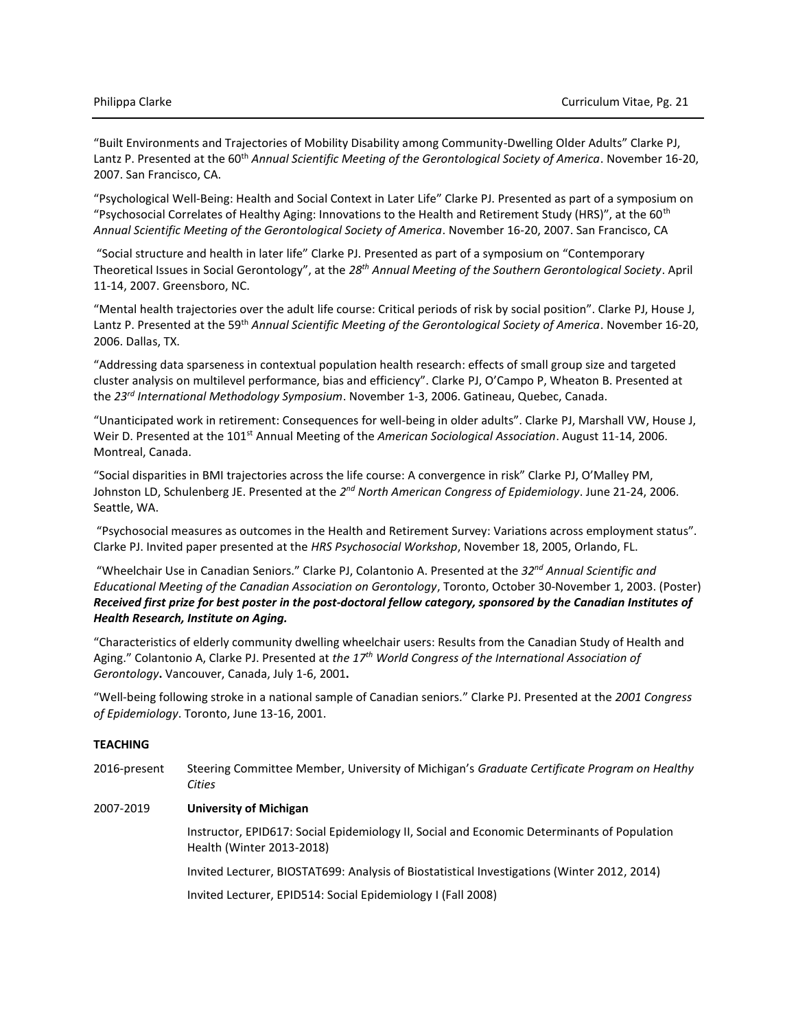"Built Environments and Trajectories of Mobility Disability among Community-Dwelling Older Adults" Clarke PJ, Lantz P. Presented at the 60th *Annual Scientific Meeting of the Gerontological Society of America*. November 16-20, 2007. San Francisco, CA.

"Psychological Well-Being: Health and Social Context in Later Life" Clarke PJ. Presented as part of a symposium on "Psychosocial Correlates of Healthy Aging: Innovations to the Health and Retirement Study (HRS)", at the 60<sup>th</sup> *Annual Scientific Meeting of the Gerontological Society of America*. November 16-20, 2007. San Francisco, CA

"Social structure and health in later life" Clarke PJ. Presented as part of a symposium on "Contemporary Theoretical Issues in Social Gerontology", at the *28th Annual Meeting of the Southern Gerontological Society*. April 11-14, 2007. Greensboro, NC.

"Mental health trajectories over the adult life course: Critical periods of risk by social position". Clarke PJ, House J, Lantz P. Presented at the 59th *Annual Scientific Meeting of the Gerontological Society of America*. November 16-20, 2006. Dallas, TX.

"Addressing data sparseness in contextual population health research: effects of small group size and targeted cluster analysis on multilevel performance, bias and efficiency". Clarke PJ, O'Campo P, Wheaton B. Presented at the *23rd International Methodology Symposium*. November 1-3, 2006. Gatineau, Quebec, Canada.

"Unanticipated work in retirement: Consequences for well-being in older adults". Clarke PJ, Marshall VW, House J, Weir D. Presented at the 101st Annual Meeting of the *American Sociological Association*. August 11-14, 2006. Montreal, Canada.

"Social disparities in BMI trajectories across the life course: A convergence in risk" Clarke PJ, O'Malley PM, Johnston LD, Schulenberg JE. Presented at the 2<sup>nd</sup> North American Congress of Epidemiology. June 21-24, 2006. Seattle, WA.

"Psychosocial measures as outcomes in the Health and Retirement Survey: Variations across employment status". Clarke PJ. Invited paper presented at the *HRS Psychosocial Workshop*, November 18, 2005, Orlando, FL.

"Wheelchair Use in Canadian Seniors." Clarke PJ, Colantonio A. Presented at the *32nd Annual Scientific and Educational Meeting of the Canadian Association on Gerontology*, Toronto, October 30-November 1, 2003. (Poster) *Received first prize for best poster in the post-doctoral fellow category, sponsored by the Canadian Institutes of Health Research, Institute on Aging.*

"Characteristics of elderly community dwelling wheelchair users: Results from the Canadian Study of Health and Aging." Colantonio A, Clarke PJ. Presented at *the 17th World Congress of the International Association of Gerontology***.** Vancouver, Canada, July 1-6, 2001**.**

"Well-being following stroke in a national sample of Canadian seniors." Clarke PJ. Presented at the *2001 Congress of Epidemiology*. Toronto, June 13-16, 2001.

# **TEACHING**

2016-present Steering Committee Member, University of Michigan's *Graduate Certificate Program on Healthy Cities*

# 2007-2019 **University of Michigan**

Instructor, EPID617: Social Epidemiology II, Social and Economic Determinants of Population Health (Winter 2013-2018)

Invited Lecturer, BIOSTAT699: Analysis of Biostatistical Investigations (Winter 2012, 2014)

Invited Lecturer, EPID514: Social Epidemiology I (Fall 2008)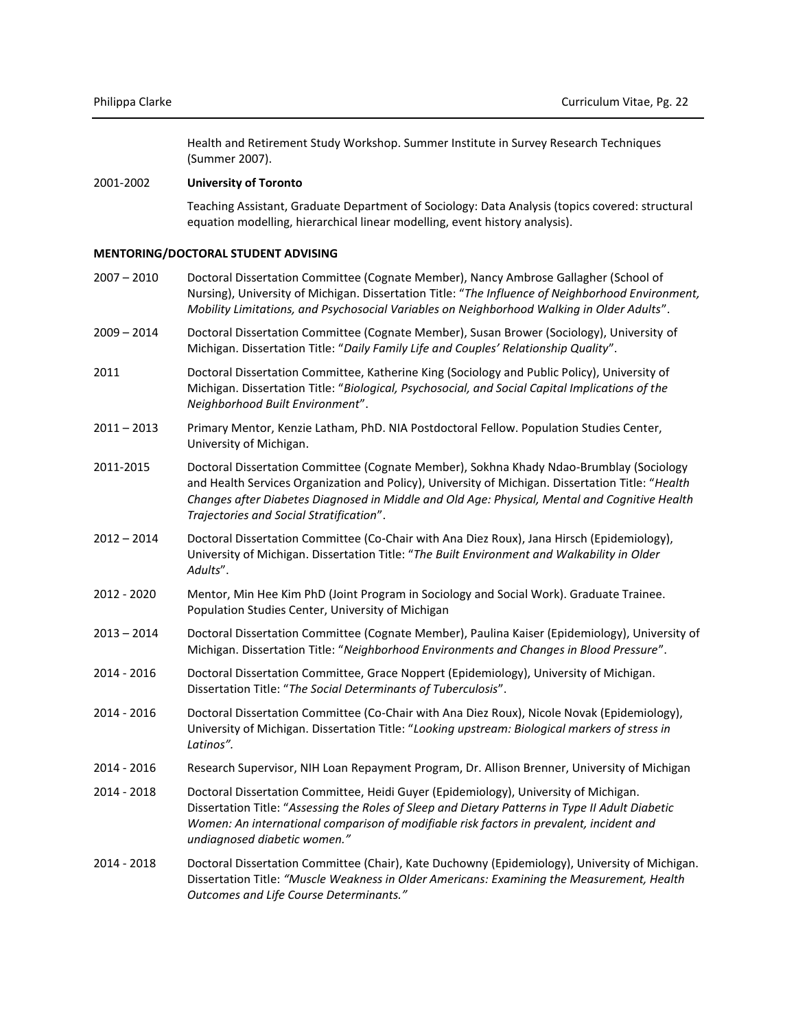Health and Retirement Study Workshop. Summer Institute in Survey Research Techniques (Summer 2007).

# 2001-2002 **University of Toronto**

Teaching Assistant, Graduate Department of Sociology: Data Analysis (topics covered: structural equation modelling, hierarchical linear modelling, event history analysis).

#### **MENTORING/DOCTORAL STUDENT ADVISING**

| 2007 – 2010 | Doctoral Dissertation Committee (Cognate Member), Nancy Ambrose Gallagher (School of              |
|-------------|---------------------------------------------------------------------------------------------------|
|             | Nursing), University of Michigan. Dissertation Title: "The Influence of Neighborhood Environment, |
|             | Mobility Limitations, and Psychosocial Variables on Neighborhood Walking in Older Adults".        |
|             |                                                                                                   |

- 2009 2014 Doctoral Dissertation Committee (Cognate Member), Susan Brower (Sociology), University of Michigan. Dissertation Title: "*Daily Family Life and Couples' Relationship Quality*".
- 2011 Doctoral Dissertation Committee, Katherine King (Sociology and Public Policy), University of Michigan. Dissertation Title: "*Biological, Psychosocial, and Social Capital Implications of the Neighborhood Built Environment*".
- 2011 2013 Primary Mentor, Kenzie Latham, PhD. NIA Postdoctoral Fellow. Population Studies Center, University of Michigan.
- 2011-2015 Doctoral Dissertation Committee (Cognate Member), Sokhna Khady Ndao-Brumblay (Sociology and Health Services Organization and Policy), University of Michigan. Dissertation Title: "*Health Changes after Diabetes Diagnosed in Middle and Old Age: Physical, Mental and Cognitive Health Trajectories and Social Stratification*".
- 2012 2014 Doctoral Dissertation Committee (Co-Chair with Ana Diez Roux), Jana Hirsch (Epidemiology), University of Michigan. Dissertation Title: "*The Built Environment and Walkability in Older Adults*".
- 2012 2020 Mentor, Min Hee Kim PhD (Joint Program in Sociology and Social Work). Graduate Trainee. Population Studies Center, University of Michigan
- 2013 2014 Doctoral Dissertation Committee (Cognate Member), Paulina Kaiser (Epidemiology), University of Michigan. Dissertation Title: "*Neighborhood Environments and Changes in Blood Pressure*".
- 2014 2016 Doctoral Dissertation Committee, Grace Noppert (Epidemiology), University of Michigan. Dissertation Title: "*The Social Determinants of Tuberculosis*".
- 2014 2016 Doctoral Dissertation Committee (Co-Chair with Ana Diez Roux), Nicole Novak (Epidemiology), University of Michigan. Dissertation Title: "*Looking upstream: Biological markers of stress in Latinos".*
- 2014 2016 Research Supervisor, NIH Loan Repayment Program, Dr. Allison Brenner, University of Michigan
- 2014 2018 Doctoral Dissertation Committee, Heidi Guyer (Epidemiology), University of Michigan. Dissertation Title: "*Assessing the Roles of Sleep and Dietary Patterns in Type II Adult Diabetic Women: An international comparison of modifiable risk factors in prevalent, incident and undiagnosed diabetic women."*
- 2014 2018 Doctoral Dissertation Committee (Chair), Kate Duchowny (Epidemiology), University of Michigan. Dissertation Title: *"Muscle Weakness in Older Americans: Examining the Measurement, Health Outcomes and Life Course Determinants."*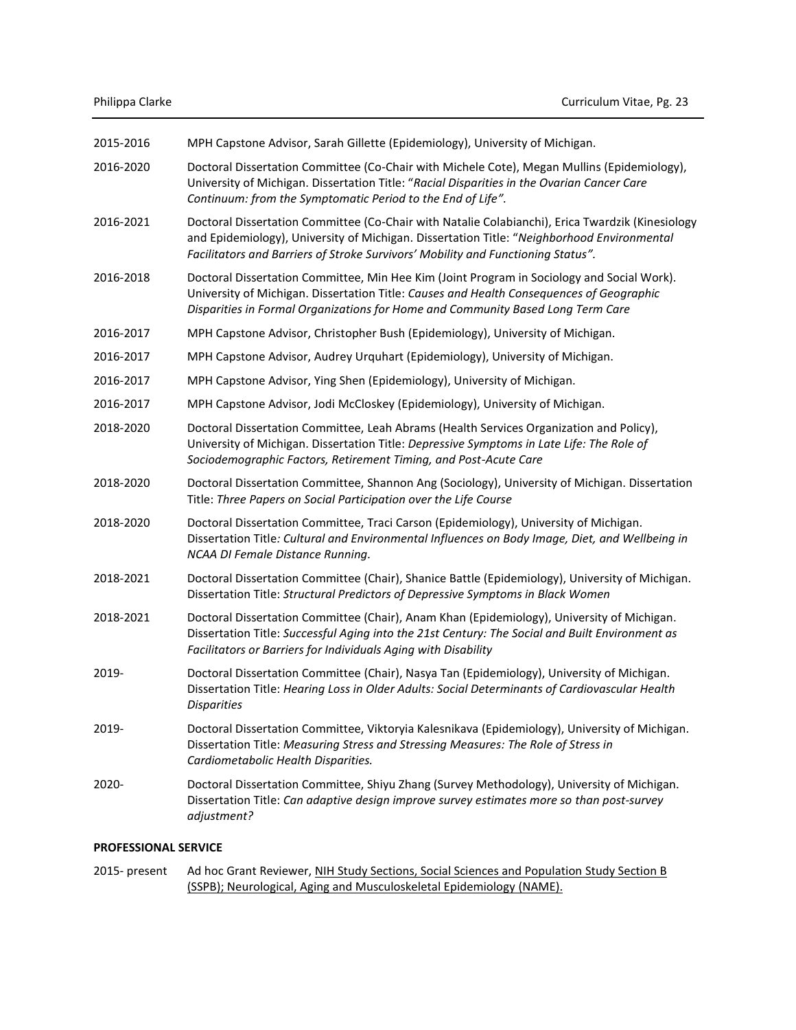| 2015-2016 | MPH Capstone Advisor, Sarah Gillette (Epidemiology), University of Michigan.                                                                                                                                                                                                       |
|-----------|------------------------------------------------------------------------------------------------------------------------------------------------------------------------------------------------------------------------------------------------------------------------------------|
| 2016-2020 | Doctoral Dissertation Committee (Co-Chair with Michele Cote), Megan Mullins (Epidemiology),<br>University of Michigan. Dissertation Title: "Racial Disparities in the Ovarian Cancer Care<br>Continuum: from the Symptomatic Period to the End of Life".                           |
| 2016-2021 | Doctoral Dissertation Committee (Co-Chair with Natalie Colabianchi), Erica Twardzik (Kinesiology<br>and Epidemiology), University of Michigan. Dissertation Title: "Neighborhood Environmental<br>Facilitators and Barriers of Stroke Survivors' Mobility and Functioning Status". |
| 2016-2018 | Doctoral Dissertation Committee, Min Hee Kim (Joint Program in Sociology and Social Work).<br>University of Michigan. Dissertation Title: Causes and Health Consequences of Geographic<br>Disparities in Formal Organizations for Home and Community Based Long Term Care          |
| 2016-2017 | MPH Capstone Advisor, Christopher Bush (Epidemiology), University of Michigan.                                                                                                                                                                                                     |
| 2016-2017 | MPH Capstone Advisor, Audrey Urquhart (Epidemiology), University of Michigan.                                                                                                                                                                                                      |
| 2016-2017 | MPH Capstone Advisor, Ying Shen (Epidemiology), University of Michigan.                                                                                                                                                                                                            |
| 2016-2017 | MPH Capstone Advisor, Jodi McCloskey (Epidemiology), University of Michigan.                                                                                                                                                                                                       |
| 2018-2020 | Doctoral Dissertation Committee, Leah Abrams (Health Services Organization and Policy),<br>University of Michigan. Dissertation Title: Depressive Symptoms in Late Life: The Role of<br>Sociodemographic Factors, Retirement Timing, and Post-Acute Care                           |
| 2018-2020 | Doctoral Dissertation Committee, Shannon Ang (Sociology), University of Michigan. Dissertation<br>Title: Three Papers on Social Participation over the Life Course                                                                                                                 |
| 2018-2020 | Doctoral Dissertation Committee, Traci Carson (Epidemiology), University of Michigan.<br>Dissertation Title: Cultural and Environmental Influences on Body Image, Diet, and Wellbeing in<br>NCAA DI Female Distance Running.                                                       |
| 2018-2021 | Doctoral Dissertation Committee (Chair), Shanice Battle (Epidemiology), University of Michigan.<br>Dissertation Title: Structural Predictors of Depressive Symptoms in Black Women                                                                                                 |
| 2018-2021 | Doctoral Dissertation Committee (Chair), Anam Khan (Epidemiology), University of Michigan.<br>Dissertation Title: Successful Aging into the 21st Century: The Social and Built Environment as<br>Facilitators or Barriers for Individuals Aging with Disability                    |
| 2019-     | Doctoral Dissertation Committee (Chair), Nasya Tan (Epidemiology), University of Michigan.<br>Dissertation Title: Hearing Loss in Older Adults: Social Determinants of Cardiovascular Health<br><b>Disparities</b>                                                                 |
| 2019-     | Doctoral Dissertation Committee, Viktoryia Kalesnikava (Epidemiology), University of Michigan.<br>Dissertation Title: Measuring Stress and Stressing Measures: The Role of Stress in<br>Cardiometabolic Health Disparities.                                                        |
| 2020-     | Doctoral Dissertation Committee, Shiyu Zhang (Survey Methodology), University of Michigan.<br>Dissertation Title: Can adaptive design improve survey estimates more so than post-survey<br>adjustment?                                                                             |

# **PROFESSIONAL SERVICE**

2015- present Ad hoc Grant Reviewer, NIH Study Sections, Social Sciences and Population Study Section B (SSPB); Neurological, Aging and Musculoskeletal Epidemiology (NAME).